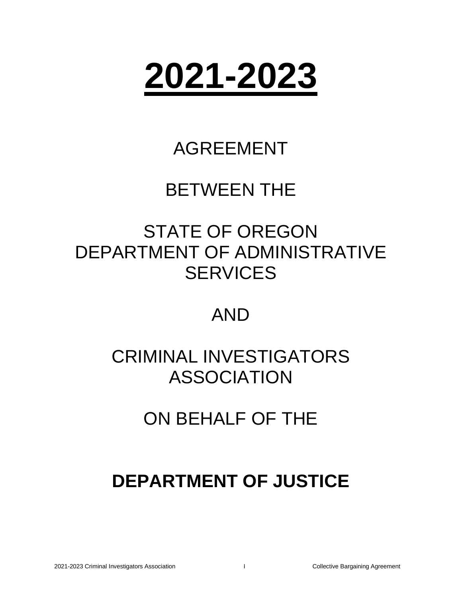

# AGREEMENT

# BETWEEN THE

# STATE OF OREGON DEPARTMENT OF ADMINISTRATIVE **SERVICES**

# AND

# CRIMINAL INVESTIGATORS ASSOCIATION

# ON BEHALF OF THE

# **DEPARTMENT OF JUSTICE**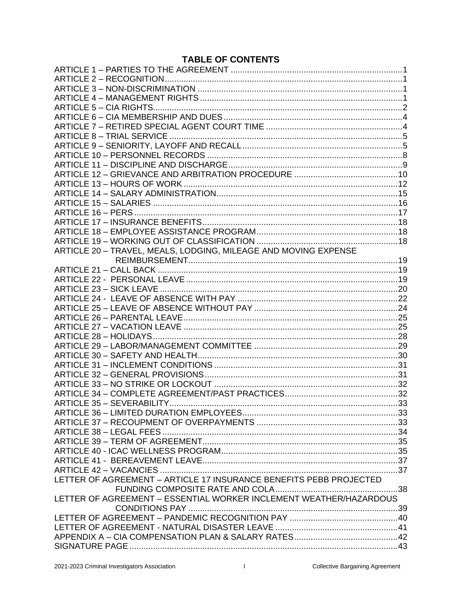# **TABLE OF CONTENTS**

| ARTICLE 20 - TRAVEL, MEALS, LODGING, MILEAGE AND MOVING EXPENSE    |  |
|--------------------------------------------------------------------|--|
|                                                                    |  |
|                                                                    |  |
|                                                                    |  |
|                                                                    |  |
|                                                                    |  |
|                                                                    |  |
|                                                                    |  |
|                                                                    |  |
|                                                                    |  |
|                                                                    |  |
|                                                                    |  |
|                                                                    |  |
|                                                                    |  |
|                                                                    |  |
|                                                                    |  |
|                                                                    |  |
| ARTICLE 35 - SEVERABILITY                                          |  |
|                                                                    |  |
|                                                                    |  |
|                                                                    |  |
|                                                                    |  |
|                                                                    |  |
|                                                                    |  |
|                                                                    |  |
| LETTER OF AGREEMENT - ARTICLE 17 INSURANCE BENEFITS PEBB PROJECTED |  |
|                                                                    |  |
| LETTER OF AGREEMENT - ESSENTIAL WORKER INCLEMENT WEATHER/HAZARDOUS |  |
|                                                                    |  |
|                                                                    |  |
|                                                                    |  |
|                                                                    |  |
|                                                                    |  |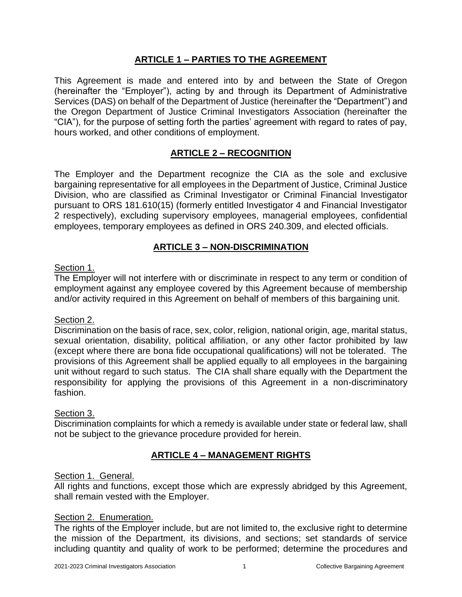# **ARTICLE 1 – PARTIES TO THE AGREEMENT**

<span id="page-2-0"></span>This Agreement is made and entered into by and between the State of Oregon (hereinafter the "Employer"), acting by and through its Department of Administrative Services (DAS) on behalf of the Department of Justice (hereinafter the "Department") and the Oregon Department of Justice Criminal Investigators Association (hereinafter the "CIA"), for the purpose of setting forth the parties' agreement with regard to rates of pay, hours worked, and other conditions of employment.

# **ARTICLE 2 – RECOGNITION**

<span id="page-2-1"></span>The Employer and the Department recognize the CIA as the sole and exclusive bargaining representative for all employees in the Department of Justice, Criminal Justice Division, who are classified as Criminal Investigator or Criminal Financial Investigator pursuant to ORS 181.610(15) (formerly entitled Investigator 4 and Financial Investigator 2 respectively), excluding supervisory employees, managerial employees, confidential employees, temporary employees as defined in ORS 240.309, and elected officials.

### **ARTICLE 3 – NON-DISCRIMINATION**

### <span id="page-2-2"></span>Section 1.

The Employer will not interfere with or discriminate in respect to any term or condition of employment against any employee covered by this Agreement because of membership and/or activity required in this Agreement on behalf of members of this bargaining unit.

### Section 2.

Discrimination on the basis of race, sex, color, religion, national origin, age, marital status, sexual orientation, disability, political affiliation, or any other factor prohibited by law (except where there are bona fide occupational qualifications) will not be tolerated. The provisions of this Agreement shall be applied equally to all employees in the bargaining unit without regard to such status. The CIA shall share equally with the Department the responsibility for applying the provisions of this Agreement in a non-discriminatory fashion.

#### Section 3.

Discrimination complaints for which a remedy is available under state or federal law, shall not be subject to the grievance procedure provided for herein.

# **ARTICLE 4 – MANAGEMENT RIGHTS**

### <span id="page-2-3"></span>Section 1. General.

All rights and functions, except those which are expressly abridged by this Agreement, shall remain vested with the Employer.

#### Section 2. Enumeration.

The rights of the Employer include, but are not limited to, the exclusive right to determine the mission of the Department, its divisions, and sections; set standards of service including quantity and quality of work to be performed; determine the procedures and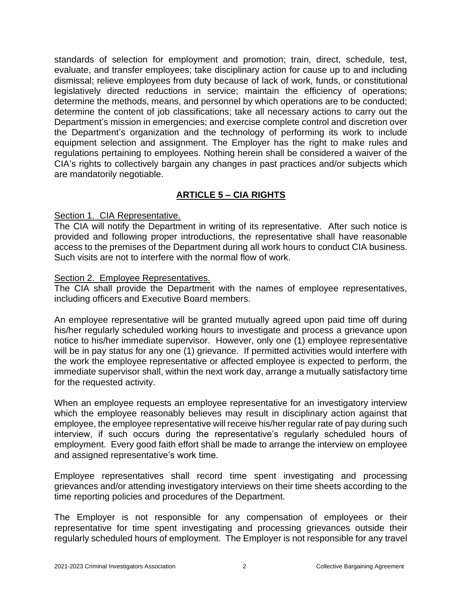standards of selection for employment and promotion; train, direct, schedule, test, evaluate, and transfer employees; take disciplinary action for cause up to and including dismissal; relieve employees from duty because of lack of work, funds, or constitutional legislatively directed reductions in service; maintain the efficiency of operations; determine the methods, means, and personnel by which operations are to be conducted; determine the content of job classifications; take all necessary actions to carry out the Department's mission in emergencies; and exercise complete control and discretion over the Department's organization and the technology of performing its work to include equipment selection and assignment. The Employer has the right to make rules and regulations pertaining to employees. Nothing herein shall be considered a waiver of the CIA's rights to collectively bargain any changes in past practices and/or subjects which are mandatorily negotiable.

# **ARTICLE 5 – CIA RIGHTS**

## <span id="page-3-0"></span>Section 1. CIA Representative.

The CIA will notify the Department in writing of its representative. After such notice is provided and following proper introductions, the representative shall have reasonable access to the premises of the Department during all work hours to conduct CIA business. Such visits are not to interfere with the normal flow of work.

## Section 2. Employee Representatives.

The CIA shall provide the Department with the names of employee representatives, including officers and Executive Board members.

An employee representative will be granted mutually agreed upon paid time off during his/her regularly scheduled working hours to investigate and process a grievance upon notice to his/her immediate supervisor. However, only one (1) employee representative will be in pay status for any one (1) grievance. If permitted activities would interfere with the work the employee representative or affected employee is expected to perform, the immediate supervisor shall, within the next work day, arrange a mutually satisfactory time for the requested activity.

When an employee requests an employee representative for an investigatory interview which the employee reasonably believes may result in disciplinary action against that employee, the employee representative will receive his/her regular rate of pay during such interview, if such occurs during the representative's regularly scheduled hours of employment. Every good faith effort shall be made to arrange the interview on employee and assigned representative's work time.

Employee representatives shall record time spent investigating and processing grievances and/or attending investigatory interviews on their time sheets according to the time reporting policies and procedures of the Department.

The Employer is not responsible for any compensation of employees or their representative for time spent investigating and processing grievances outside their regularly scheduled hours of employment. The Employer is not responsible for any travel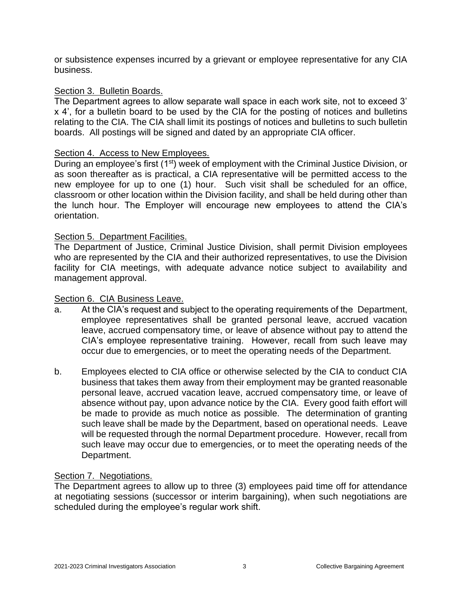or subsistence expenses incurred by a grievant or employee representative for any CIA business.

#### Section 3. Bulletin Boards.

The Department agrees to allow separate wall space in each work site, not to exceed 3' x 4', for a bulletin board to be used by the CIA for the posting of notices and bulletins relating to the CIA. The CIA shall limit its postings of notices and bulletins to such bulletin boards. All postings will be signed and dated by an appropriate CIA officer.

#### Section 4. Access to New Employees.

During an employee's first (1<sup>st)</sup> week of employment with the Criminal Justice Division, or as soon thereafter as is practical, a CIA representative will be permitted access to the new employee for up to one (1) hour. Such visit shall be scheduled for an office, classroom or other location within the Division facility, and shall be held during other than the lunch hour. The Employer will encourage new employees to attend the CIA's orientation.

#### Section 5. Department Facilities.

The Department of Justice, Criminal Justice Division, shall permit Division employees who are represented by the CIA and their authorized representatives, to use the Division facility for CIA meetings, with adequate advance notice subject to availability and management approval.

#### Section 6. CIA Business Leave.

- a. At the CIA's request and subject to the operating requirements of the Department, employee representatives shall be granted personal leave, accrued vacation leave, accrued compensatory time, or leave of absence without pay to attend the CIA's employee representative training. However, recall from such leave may occur due to emergencies, or to meet the operating needs of the Department.
- b. Employees elected to CIA office or otherwise selected by the CIA to conduct CIA business that takes them away from their employment may be granted reasonable personal leave, accrued vacation leave, accrued compensatory time, or leave of absence without pay, upon advance notice by the CIA. Every good faith effort will be made to provide as much notice as possible. The determination of granting such leave shall be made by the Department, based on operational needs. Leave will be requested through the normal Department procedure. However, recall from such leave may occur due to emergencies, or to meet the operating needs of the Department.

#### Section 7. Negotiations.

The Department agrees to allow up to three (3) employees paid time off for attendance at negotiating sessions (successor or interim bargaining), when such negotiations are scheduled during the employee's regular work shift.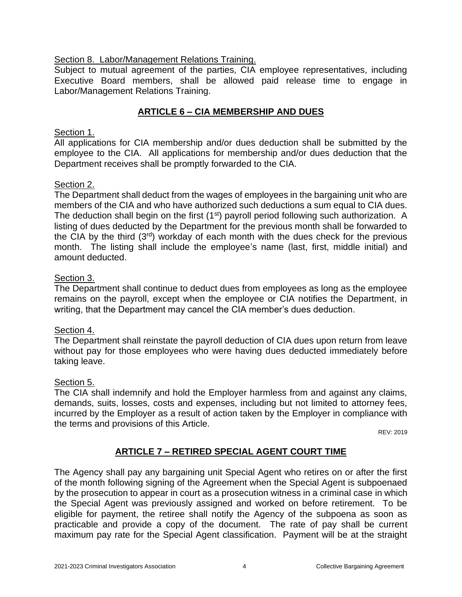## Section 8. Labor/Management Relations Training.

Subject to mutual agreement of the parties, CIA employee representatives, including Executive Board members, shall be allowed paid release time to engage in Labor/Management Relations Training.

# **ARTICLE 6 – CIA MEMBERSHIP AND DUES**

#### <span id="page-5-0"></span>Section 1.

All applications for CIA membership and/or dues deduction shall be submitted by the employee to the CIA. All applications for membership and/or dues deduction that the Department receives shall be promptly forwarded to the CIA.

#### Section 2.

The Department shall deduct from the wages of employees in the bargaining unit who are members of the CIA and who have authorized such deductions a sum equal to CIA dues. The deduction shall begin on the first (1<sup>st</sup>) payroll period following such authorization. A listing of dues deducted by the Department for the previous month shall be forwarded to the CIA by the third  $(3<sup>rd</sup>)$  workday of each month with the dues check for the previous month. The listing shall include the employee's name (last, first, middle initial) and amount deducted.

#### Section 3.

The Department shall continue to deduct dues from employees as long as the employee remains on the payroll, except when the employee or CIA notifies the Department, in writing, that the Department may cancel the CIA member's dues deduction.

### Section 4.

The Department shall reinstate the payroll deduction of CIA dues upon return from leave without pay for those employees who were having dues deducted immediately before taking leave.

#### Section 5.

The CIA shall indemnify and hold the Employer harmless from and against any claims, demands, suits, losses, costs and expenses, including but not limited to attorney fees, incurred by the Employer as a result of action taken by the Employer in compliance with the terms and provisions of this Article.

REV: 2019

# **ARTICLE 7 – RETIRED SPECIAL AGENT COURT TIME**

<span id="page-5-1"></span>The Agency shall pay any bargaining unit Special Agent who retires on or after the first of the month following signing of the Agreement when the Special Agent is subpoenaed by the prosecution to appear in court as a prosecution witness in a criminal case in which the Special Agent was previously assigned and worked on before retirement. To be eligible for payment, the retiree shall notify the Agency of the subpoena as soon as practicable and provide a copy of the document. The rate of pay shall be current maximum pay rate for the Special Agent classification. Payment will be at the straight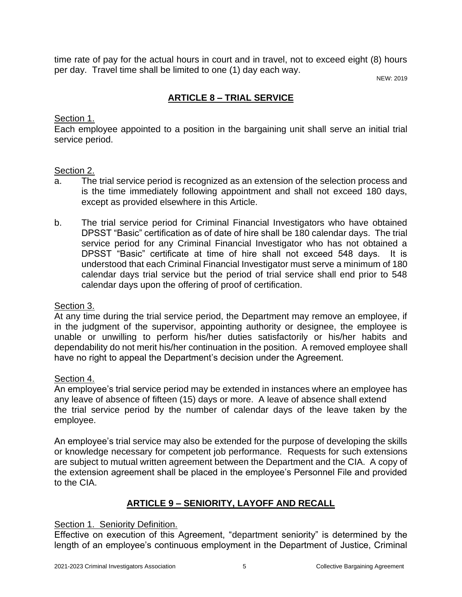time rate of pay for the actual hours in court and in travel, not to exceed eight (8) hours per day. Travel time shall be limited to one (1) day each way.

NEW: 2019

# **ARTICLE 8 – TRIAL SERVICE**

## <span id="page-6-0"></span>Section 1.

Each employee appointed to a position in the bargaining unit shall serve an initial trial service period.

## Section 2.

- a. The trial service period is recognized as an extension of the selection process and is the time immediately following appointment and shall not exceed 180 days, except as provided elsewhere in this Article.
- b. The trial service period for Criminal Financial Investigators who have obtained DPSST "Basic" certification as of date of hire shall be 180 calendar days. The trial service period for any Criminal Financial Investigator who has not obtained a DPSST "Basic" certificate at time of hire shall not exceed 548 days. It is understood that each Criminal Financial Investigator must serve a minimum of 180 calendar days trial service but the period of trial service shall end prior to 548 calendar days upon the offering of proof of certification.

### Section 3.

At any time during the trial service period, the Department may remove an employee, if in the judgment of the supervisor, appointing authority or designee, the employee is unable or unwilling to perform his/her duties satisfactorily or his/her habits and dependability do not merit his/her continuation in the position. A removed employee shall have no right to appeal the Department's decision under the Agreement.

# Section 4.

An employee's trial service period may be extended in instances where an employee has any leave of absence of fifteen (15) days or more. A leave of absence shall extend the trial service period by the number of calendar days of the leave taken by the employee.

An employee's trial service may also be extended for the purpose of developing the skills or knowledge necessary for competent job performance. Requests for such extensions are subject to mutual written agreement between the Department and the CIA. A copy of the extension agreement shall be placed in the employee's Personnel File and provided to the CIA.

# **ARTICLE 9 – SENIORITY, LAYOFF AND RECALL**

### <span id="page-6-1"></span>Section 1. Seniority Definition.

Effective on execution of this Agreement, "department seniority" is determined by the length of an employee's continuous employment in the Department of Justice, Criminal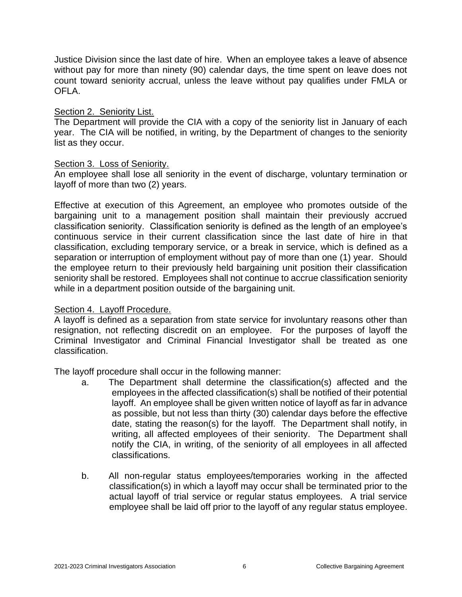Justice Division since the last date of hire. When an employee takes a leave of absence without pay for more than ninety (90) calendar days, the time spent on leave does not count toward seniority accrual, unless the leave without pay qualifies under FMLA or OFLA.

### Section 2. Seniority List.

The Department will provide the CIA with a copy of the seniority list in January of each year. The CIA will be notified, in writing, by the Department of changes to the seniority list as they occur.

## Section 3. Loss of Seniority.

An employee shall lose all seniority in the event of discharge, voluntary termination or layoff of more than two (2) years.

Effective at execution of this Agreement, an employee who promotes outside of the bargaining unit to a management position shall maintain their previously accrued classification seniority. Classification seniority is defined as the length of an employee's continuous service in their current classification since the last date of hire in that classification, excluding temporary service, or a break in service, which is defined as a separation or interruption of employment without pay of more than one (1) year. Should the employee return to their previously held bargaining unit position their classification seniority shall be restored. Employees shall not continue to accrue classification seniority while in a department position outside of the bargaining unit.

### Section 4. Layoff Procedure.

A layoff is defined as a separation from state service for involuntary reasons other than resignation, not reflecting discredit on an employee. For the purposes of layoff the Criminal Investigator and Criminal Financial Investigator shall be treated as one classification.

The layoff procedure shall occur in the following manner:

- a. The Department shall determine the classification(s) affected and the employees in the affected classification(s) shall be notified of their potential layoff. An employee shall be given written notice of layoff as far in advance as possible, but not less than thirty (30) calendar days before the effective date, stating the reason(s) for the layoff. The Department shall notify, in writing, all affected employees of their seniority. The Department shall notify the CIA, in writing, of the seniority of all employees in all affected classifications.
- b. All non-regular status employees/temporaries working in the affected classification(s) in which a layoff may occur shall be terminated prior to the actual layoff of trial service or regular status employees. A trial service employee shall be laid off prior to the layoff of any regular status employee.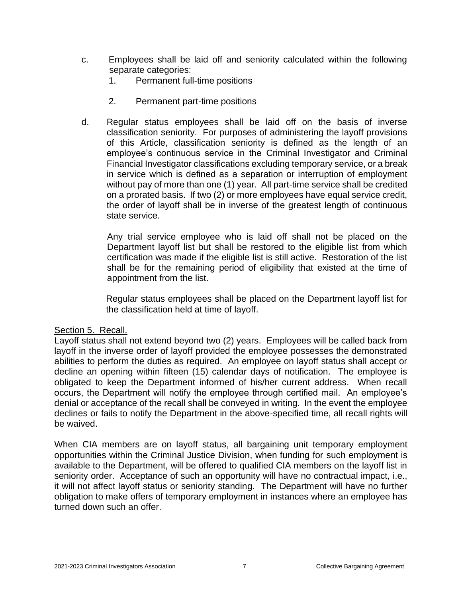- c. Employees shall be laid off and seniority calculated within the following separate categories:
	- 1. Permanent full-time positions
	- 2. Permanent part-time positions
- d. Regular status employees shall be laid off on the basis of inverse classification seniority. For purposes of administering the layoff provisions of this Article, classification seniority is defined as the length of an employee's continuous service in the Criminal Investigator and Criminal Financial Investigator classifications excluding temporary service, or a break in service which is defined as a separation or interruption of employment without pay of more than one (1) year. All part-time service shall be credited on a prorated basis. If two (2) or more employees have equal service credit, the order of layoff shall be in inverse of the greatest length of continuous state service.

Any trial service employee who is laid off shall not be placed on the Department layoff list but shall be restored to the eligible list from which certification was made if the eligible list is still active. Restoration of the list shall be for the remaining period of eligibility that existed at the time of appointment from the list.

Regular status employees shall be placed on the Department layoff list for the classification held at time of layoff.

### Section 5. Recall.

Layoff status shall not extend beyond two (2) years. Employees will be called back from layoff in the inverse order of layoff provided the employee possesses the demonstrated abilities to perform the duties as required. An employee on layoff status shall accept or decline an opening within fifteen (15) calendar days of notification. The employee is obligated to keep the Department informed of his/her current address. When recall occurs, the Department will notify the employee through certified mail. An employee's denial or acceptance of the recall shall be conveyed in writing. In the event the employee declines or fails to notify the Department in the above-specified time, all recall rights will be waived.

When CIA members are on layoff status, all bargaining unit temporary employment opportunities within the Criminal Justice Division, when funding for such employment is available to the Department, will be offered to qualified CIA members on the layoff list in seniority order. Acceptance of such an opportunity will have no contractual impact, i.e., it will not affect layoff status or seniority standing. The Department will have no further obligation to make offers of temporary employment in instances where an employee has turned down such an offer.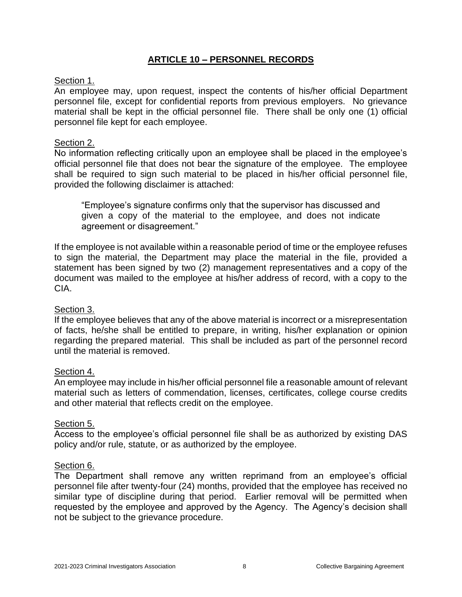## **ARTICLE 10 – PERSONNEL RECORDS**

### <span id="page-9-0"></span>Section 1.

An employee may, upon request, inspect the contents of his/her official Department personnel file, except for confidential reports from previous employers. No grievance material shall be kept in the official personnel file. There shall be only one (1) official personnel file kept for each employee.

#### Section 2.

No information reflecting critically upon an employee shall be placed in the employee's official personnel file that does not bear the signature of the employee. The employee shall be required to sign such material to be placed in his/her official personnel file, provided the following disclaimer is attached:

"Employee's signature confirms only that the supervisor has discussed and given a copy of the material to the employee, and does not indicate agreement or disagreement."

If the employee is not available within a reasonable period of time or the employee refuses to sign the material, the Department may place the material in the file, provided a statement has been signed by two (2) management representatives and a copy of the document was mailed to the employee at his/her address of record, with a copy to the CIA.

#### Section 3.

If the employee believes that any of the above material is incorrect or a misrepresentation of facts, he/she shall be entitled to prepare, in writing, his/her explanation or opinion regarding the prepared material. This shall be included as part of the personnel record until the material is removed.

#### Section 4.

An employee may include in his/her official personnel file a reasonable amount of relevant material such as letters of commendation, licenses, certificates, college course credits and other material that reflects credit on the employee.

#### Section 5.

Access to the employee's official personnel file shall be as authorized by existing DAS policy and/or rule, statute, or as authorized by the employee.

#### Section 6.

The Department shall remove any written reprimand from an employee's official personnel file after twenty-four (24) months, provided that the employee has received no similar type of discipline during that period. Earlier removal will be permitted when requested by the employee and approved by the Agency. The Agency's decision shall not be subject to the grievance procedure.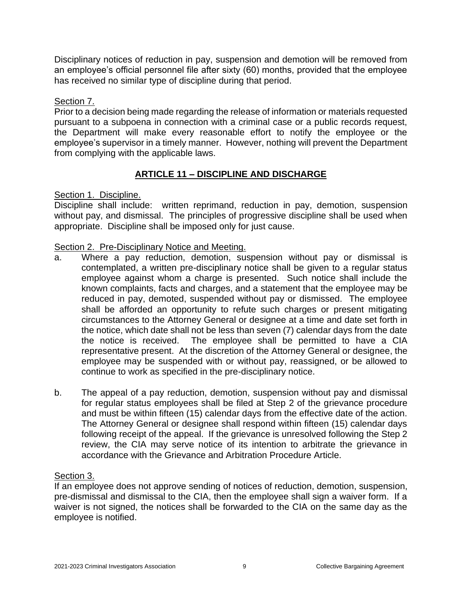Disciplinary notices of reduction in pay, suspension and demotion will be removed from an employee's official personnel file after sixty (60) months, provided that the employee has received no similar type of discipline during that period.

## Section 7.

Prior to a decision being made regarding the release of information or materials requested pursuant to a subpoena in connection with a criminal case or a public records request, the Department will make every reasonable effort to notify the employee or the employee's supervisor in a timely manner. However, nothing will prevent the Department from complying with the applicable laws.

# **ARTICLE 11 – DISCIPLINE AND DISCHARGE**

### <span id="page-10-0"></span>Section 1. Discipline.

Discipline shall include: written reprimand, reduction in pay, demotion, suspension without pay, and dismissal. The principles of progressive discipline shall be used when appropriate. Discipline shall be imposed only for just cause.

### Section 2. Pre-Disciplinary Notice and Meeting.

- a. Where a pay reduction, demotion, suspension without pay or dismissal is contemplated, a written pre-disciplinary notice shall be given to a regular status employee against whom a charge is presented. Such notice shall include the known complaints, facts and charges, and a statement that the employee may be reduced in pay, demoted, suspended without pay or dismissed. The employee shall be afforded an opportunity to refute such charges or present mitigating circumstances to the Attorney General or designee at a time and date set forth in the notice, which date shall not be less than seven (7) calendar days from the date the notice is received. The employee shall be permitted to have a CIA representative present. At the discretion of the Attorney General or designee, the employee may be suspended with or without pay, reassigned, or be allowed to continue to work as specified in the pre-disciplinary notice.
- b. The appeal of a pay reduction, demotion, suspension without pay and dismissal for regular status employees shall be filed at Step 2 of the grievance procedure and must be within fifteen (15) calendar days from the effective date of the action. The Attorney General or designee shall respond within fifteen (15) calendar days following receipt of the appeal. If the grievance is unresolved following the Step 2 review, the CIA may serve notice of its intention to arbitrate the grievance in accordance with the Grievance and Arbitration Procedure Article.

### Section 3.

If an employee does not approve sending of notices of reduction, demotion, suspension, pre-dismissal and dismissal to the CIA, then the employee shall sign a waiver form. If a waiver is not signed, the notices shall be forwarded to the CIA on the same day as the employee is notified.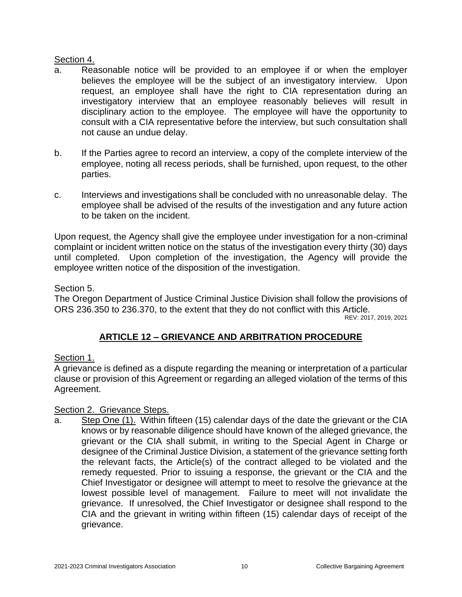## Section 4.

- a. Reasonable notice will be provided to an employee if or when the employer believes the employee will be the subject of an investigatory interview. Upon request, an employee shall have the right to CIA representation during an investigatory interview that an employee reasonably believes will result in disciplinary action to the employee. The employee will have the opportunity to consult with a CIA representative before the interview, but such consultation shall not cause an undue delay.
- b. If the Parties agree to record an interview, a copy of the complete interview of the employee, noting all recess periods, shall be furnished, upon request, to the other parties.
- c. Interviews and investigations shall be concluded with no unreasonable delay. The employee shall be advised of the results of the investigation and any future action to be taken on the incident.

Upon request, the Agency shall give the employee under investigation for a non-criminal complaint or incident written notice on the status of the investigation every thirty (30) days until completed. Upon completion of the investigation, the Agency will provide the employee written notice of the disposition of the investigation.

## Section 5.

The Oregon Department of Justice Criminal Justice Division shall follow the provisions of ORS 236.350 to 236.370, to the extent that they do not conflict with this Article.

REV: 2017, 2019, 2021

# **ARTICLE 12 – GRIEVANCE AND ARBITRATION PROCEDURE**

# <span id="page-11-0"></span>Section 1.

A grievance is defined as a dispute regarding the meaning or interpretation of a particular clause or provision of this Agreement or regarding an alleged violation of the terms of this Agreement.

# Section 2. Grievance Steps.

a. Step One (1). Within fifteen (15) calendar days of the date the grievant or the CIA knows or by reasonable diligence should have known of the alleged grievance, the grievant or the CIA shall submit, in writing to the Special Agent in Charge or designee of the Criminal Justice Division, a statement of the grievance setting forth the relevant facts, the Article(s) of the contract alleged to be violated and the remedy requested. Prior to issuing a response, the grievant or the CIA and the Chief Investigator or designee will attempt to meet to resolve the grievance at the lowest possible level of management. Failure to meet will not invalidate the grievance. If unresolved, the Chief Investigator or designee shall respond to the CIA and the grievant in writing within fifteen (15) calendar days of receipt of the grievance.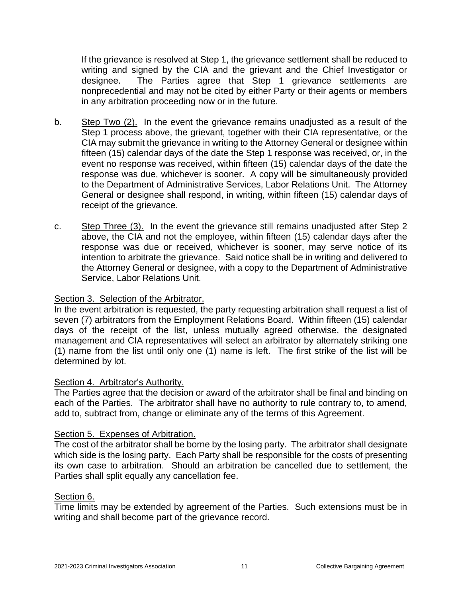If the grievance is resolved at Step 1, the grievance settlement shall be reduced to writing and signed by the CIA and the grievant and the Chief Investigator or designee. The Parties agree that Step 1 grievance settlements are nonprecedential and may not be cited by either Party or their agents or members in any arbitration proceeding now or in the future.

- b. Step Two (2). In the event the grievance remains unadjusted as a result of the Step 1 process above, the grievant, together with their CIA representative, or the CIA may submit the grievance in writing to the Attorney General or designee within fifteen (15) calendar days of the date the Step 1 response was received, or, in the event no response was received, within fifteen (15) calendar days of the date the response was due, whichever is sooner. A copy will be simultaneously provided to the Department of Administrative Services, Labor Relations Unit. The Attorney General or designee shall respond, in writing, within fifteen (15) calendar days of receipt of the grievance.
- c. Step Three (3). In the event the grievance still remains unadjusted after Step 2 above, the CIA and not the employee, within fifteen (15) calendar days after the response was due or received, whichever is sooner, may serve notice of its intention to arbitrate the grievance. Said notice shall be in writing and delivered to the Attorney General or designee, with a copy to the Department of Administrative Service, Labor Relations Unit.

### Section 3. Selection of the Arbitrator.

In the event arbitration is requested, the party requesting arbitration shall request a list of seven (7) arbitrators from the Employment Relations Board. Within fifteen (15) calendar days of the receipt of the list, unless mutually agreed otherwise, the designated management and CIA representatives will select an arbitrator by alternately striking one (1) name from the list until only one (1) name is left. The first strike of the list will be determined by lot.

#### Section 4. Arbitrator's Authority.

The Parties agree that the decision or award of the arbitrator shall be final and binding on each of the Parties. The arbitrator shall have no authority to rule contrary to, to amend, add to, subtract from, change or eliminate any of the terms of this Agreement.

### Section 5. Expenses of Arbitration.

The cost of the arbitrator shall be borne by the losing party. The arbitrator shall designate which side is the losing party. Each Party shall be responsible for the costs of presenting its own case to arbitration. Should an arbitration be cancelled due to settlement, the Parties shall split equally any cancellation fee.

#### Section 6.

Time limits may be extended by agreement of the Parties. Such extensions must be in writing and shall become part of the grievance record.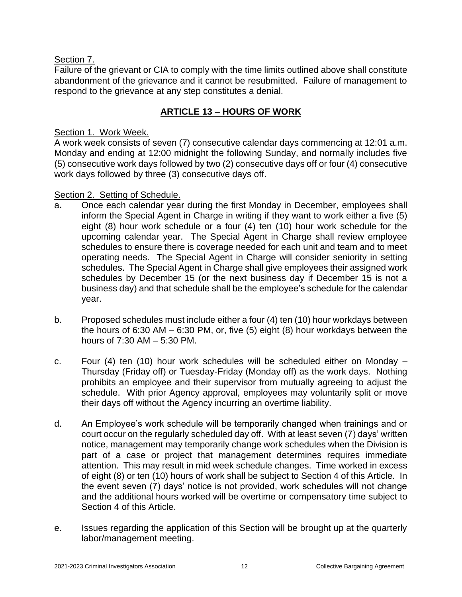## Section 7.

Failure of the grievant or CIA to comply with the time limits outlined above shall constitute abandonment of the grievance and it cannot be resubmitted. Failure of management to respond to the grievance at any step constitutes a denial.

# **ARTICLE 13 – HOURS OF WORK**

## <span id="page-13-0"></span>Section 1. Work Week.

A work week consists of seven (7) consecutive calendar days commencing at 12:01 a.m. Monday and ending at 12:00 midnight the following Sunday, and normally includes five (5) consecutive work days followed by two (2) consecutive days off or four (4) consecutive work days followed by three (3) consecutive days off.

## Section 2. Setting of Schedule.

- a**.** Once each calendar year during the first Monday in December, employees shall inform the Special Agent in Charge in writing if they want to work either a five (5) eight (8) hour work schedule or a four (4) ten (10) hour work schedule for the upcoming calendar year. The Special Agent in Charge shall review employee schedules to ensure there is coverage needed for each unit and team and to meet operating needs. The Special Agent in Charge will consider seniority in setting schedules. The Special Agent in Charge shall give employees their assigned work schedules by December 15 (or the next business day if December 15 is not a business day) and that schedule shall be the employee's schedule for the calendar year.
- b. Proposed schedules must include either a four (4) ten (10) hour workdays between the hours of 6:30 AM – 6:30 PM, or, five (5) eight (8) hour workdays between the hours of 7:30 AM – 5:30 PM.
- c. Four (4) ten (10) hour work schedules will be scheduled either on Monday Thursday (Friday off) or Tuesday-Friday (Monday off) as the work days. Nothing prohibits an employee and their supervisor from mutually agreeing to adjust the schedule. With prior Agency approval, employees may voluntarily split or move their days off without the Agency incurring an overtime liability.
- d. An Employee's work schedule will be temporarily changed when trainings and or court occur on the regularly scheduled day off. With at least seven (7) days' written notice, management may temporarily change work schedules when the Division is part of a case or project that management determines requires immediate attention. This may result in mid week schedule changes. Time worked in excess of eight (8) or ten (10) hours of work shall be subject to Section 4 of this Article. In the event seven (7) days' notice is not provided, work schedules will not change and the additional hours worked will be overtime or compensatory time subject to Section 4 of this Article.
- e. Issues regarding the application of this Section will be brought up at the quarterly labor/management meeting.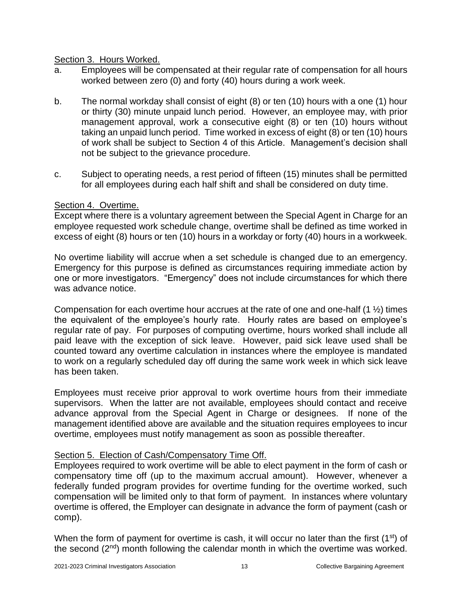### Section 3. Hours Worked.

- a. Employees will be compensated at their regular rate of compensation for all hours worked between zero (0) and forty (40) hours during a work week.
- b. The normal workday shall consist of eight (8) or ten (10) hours with a one (1) hour or thirty (30) minute unpaid lunch period. However, an employee may, with prior management approval, work a consecutive eight (8) or ten (10) hours without taking an unpaid lunch period. Time worked in excess of eight (8) or ten (10) hours of work shall be subject to Section 4 of this Article. Management's decision shall not be subject to the grievance procedure.
- c. Subject to operating needs, a rest period of fifteen (15) minutes shall be permitted for all employees during each half shift and shall be considered on duty time.

## Section 4. Overtime.

Except where there is a voluntary agreement between the Special Agent in Charge for an employee requested work schedule change, overtime shall be defined as time worked in excess of eight (8) hours or ten (10) hours in a workday or forty (40) hours in a workweek.

No overtime liability will accrue when a set schedule is changed due to an emergency. Emergency for this purpose is defined as circumstances requiring immediate action by one or more investigators. "Emergency" does not include circumstances for which there was advance notice.

Compensation for each overtime hour accrues at the rate of one and one-half  $(1 \frac{1}{2})$  times the equivalent of the employee's hourly rate. Hourly rates are based on employee's regular rate of pay. For purposes of computing overtime, hours worked shall include all paid leave with the exception of sick leave. However, paid sick leave used shall be counted toward any overtime calculation in instances where the employee is mandated to work on a regularly scheduled day off during the same work week in which sick leave has been taken.

Employees must receive prior approval to work overtime hours from their immediate supervisors. When the latter are not available, employees should contact and receive advance approval from the Special Agent in Charge or designees. If none of the management identified above are available and the situation requires employees to incur overtime, employees must notify management as soon as possible thereafter.

# Section 5. Election of Cash/Compensatory Time Off.

Employees required to work overtime will be able to elect payment in the form of cash or compensatory time off (up to the maximum accrual amount). However, whenever a federally funded program provides for overtime funding for the overtime worked, such compensation will be limited only to that form of payment. In instances where voluntary overtime is offered, the Employer can designate in advance the form of payment (cash or comp).

When the form of payment for overtime is cash, it will occur no later than the first  $(1<sup>st</sup>)$  of the second (2nd) month following the calendar month in which the overtime was worked.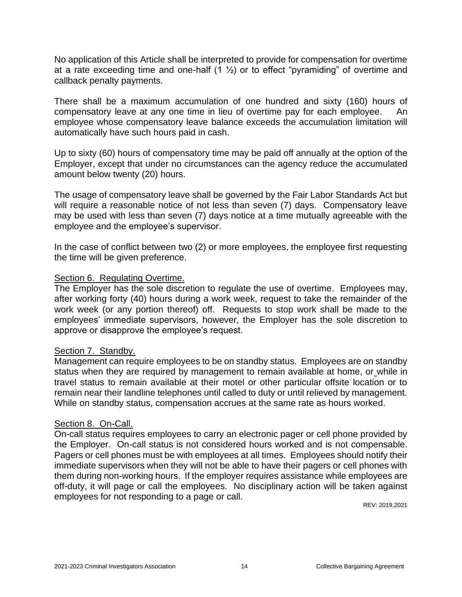No application of this Article shall be interpreted to provide for compensation for overtime at a rate exceeding time and one-half  $(1 \frac{1}{2})$  or to effect "pyramiding" of overtime and callback penalty payments.

There shall be a maximum accumulation of one hundred and sixty (160) hours of compensatory leave at any one time in lieu of overtime pay for each employee. An employee whose compensatory leave balance exceeds the accumulation limitation will automatically have such hours paid in cash.

Up to sixty (60) hours of compensatory time may be paid off annually at the option of the Employer, except that under no circumstances can the agency reduce the accumulated amount below twenty (20) hours.

The usage of compensatory leave shall be governed by the Fair Labor Standards Act but will require a reasonable notice of not less than seven (7) days. Compensatory leave may be used with less than seven (7) days notice at a time mutually agreeable with the employee and the employee's supervisor.

In the case of conflict between two (2) or more employees, the employee first requesting the time will be given preference.

#### Section 6. Regulating Overtime.

The Employer has the sole discretion to regulate the use of overtime. Employees may, after working forty (40) hours during a work week, request to take the remainder of the work week (or any portion thereof) off. Requests to stop work shall be made to the employees' immediate supervisors, however, the Employer has the sole discretion to approve or disapprove the employee's request.

### Section 7. Standby.

Management can require employees to be on standby status. Employees are on standby status when they are required by management to remain available at home, or while in travel status to remain available at their motel or other particular offsite location or to remain near their landline telephones until called to duty or until relieved by management. While on standby status, compensation accrues at the same rate as hours worked.

#### Section 8. On-Call.

On-call status requires employees to carry an electronic pager or cell phone provided by the Employer. On-call status is not considered hours worked and is not compensable. Pagers or cell phones must be with employees at all times. Employees should notify their immediate supervisors when they will not be able to have their pagers or cell phones with them during non-working hours. If the employer requires assistance while employees are off-duty, it will page or call the employees. No disciplinary action will be taken against employees for not responding to a page or call.

REV: 2019,2021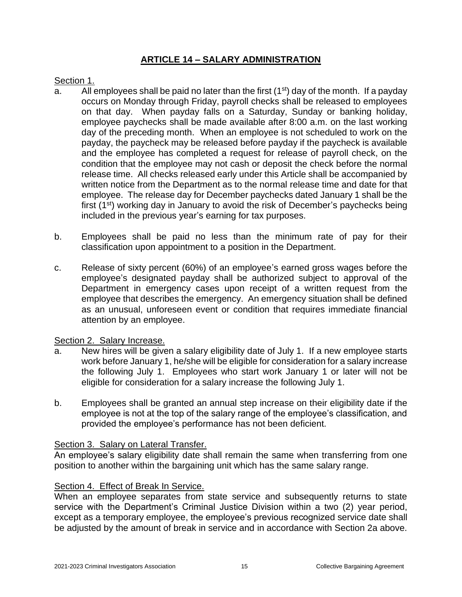# **ARTICLE 14 – SALARY ADMINISTRATION**

#### <span id="page-16-0"></span>Section 1.

- a. All employees shall be paid no later than the first  $(1<sup>st</sup>)$  day of the month. If a payday occurs on Monday through Friday, payroll checks shall be released to employees on that day. When payday falls on a Saturday, Sunday or banking holiday, employee paychecks shall be made available after 8:00 a.m. on the last working day of the preceding month. When an employee is not scheduled to work on the payday, the paycheck may be released before payday if the paycheck is available and the employee has completed a request for release of payroll check, on the condition that the employee may not cash or deposit the check before the normal release time. All checks released early under this Article shall be accompanied by written notice from the Department as to the normal release time and date for that employee. The release day for December paychecks dated January 1 shall be the first (1<sup>st</sup>) working day in January to avoid the risk of December's paychecks being included in the previous year's earning for tax purposes.
- b. Employees shall be paid no less than the minimum rate of pay for their classification upon appointment to a position in the Department.
- c. Release of sixty percent (60%) of an employee's earned gross wages before the employee's designated payday shall be authorized subject to approval of the Department in emergency cases upon receipt of a written request from the employee that describes the emergency. An emergency situation shall be defined as an unusual, unforeseen event or condition that requires immediate financial attention by an employee.

#### Section 2. Salary Increase.

- a. New hires will be given a salary eligibility date of July 1. If a new employee starts work before January 1, he/she will be eligible for consideration for a salary increase the following July 1. Employees who start work January 1 or later will not be eligible for consideration for a salary increase the following July 1.
- b. Employees shall be granted an annual step increase on their eligibility date if the employee is not at the top of the salary range of the employee's classification, and provided the employee's performance has not been deficient.

### Section 3. Salary on Lateral Transfer.

An employee's salary eligibility date shall remain the same when transferring from one position to another within the bargaining unit which has the same salary range.

## Section 4. Effect of Break In Service.

When an employee separates from state service and subsequently returns to state service with the Department's Criminal Justice Division within a two (2) year period, except as a temporary employee, the employee's previous recognized service date shall be adjusted by the amount of break in service and in accordance with Section 2a above.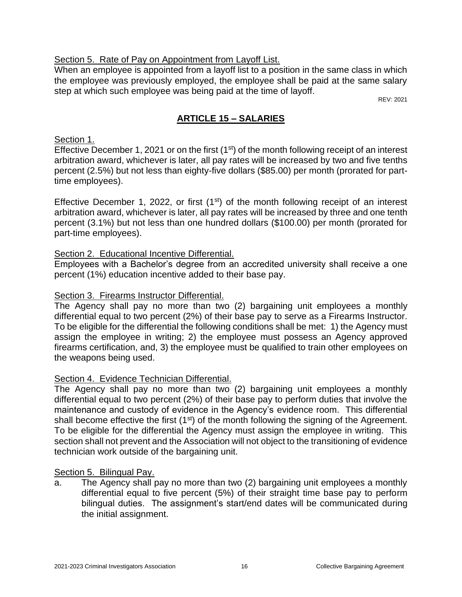## Section 5. Rate of Pay on Appointment from Layoff List.

When an employee is appointed from a layoff list to a position in the same class in which the employee was previously employed, the employee shall be paid at the same salary step at which such employee was being paid at the time of layoff.

REV: 2021

# **ARTICLE 15 – SALARIES**

## <span id="page-17-0"></span>Section 1.

Effective December 1, 2021 or on the first (1<sup>st</sup>) of the month following receipt of an interest arbitration award, whichever is later, all pay rates will be increased by two and five tenths percent (2.5%) but not less than eighty-five dollars (\$85.00) per month (prorated for parttime employees).

Effective December 1, 2022, or first  $(1<sup>st</sup>)$  of the month following receipt of an interest arbitration award, whichever is later, all pay rates will be increased by three and one tenth percent (3.1%) but not less than one hundred dollars (\$100.00) per month (prorated for part-time employees).

## Section 2. Educational Incentive Differential.

Employees with a Bachelor's degree from an accredited university shall receive a one percent (1%) education incentive added to their base pay.

## Section 3. Firearms Instructor Differential.

The Agency shall pay no more than two (2) bargaining unit employees a monthly differential equal to two percent (2%) of their base pay to serve as a Firearms Instructor. To be eligible for the differential the following conditions shall be met: 1) the Agency must assign the employee in writing; 2) the employee must possess an Agency approved firearms certification, and, 3) the employee must be qualified to train other employees on the weapons being used.

# Section 4. Evidence Technician Differential.

The Agency shall pay no more than two (2) bargaining unit employees a monthly differential equal to two percent (2%) of their base pay to perform duties that involve the maintenance and custody of evidence in the Agency's evidence room. This differential shall become effective the first  $(1<sup>st</sup>)$  of the month following the signing of the Agreement. To be eligible for the differential the Agency must assign the employee in writing. This section shall not prevent and the Association will not object to the transitioning of evidence technician work outside of the bargaining unit.

### Section 5. Bilingual Pay.

a. The Agency shall pay no more than two (2) bargaining unit employees a monthly differential equal to five percent (5%) of their straight time base pay to perform bilingual duties. The assignment's start/end dates will be communicated during the initial assignment.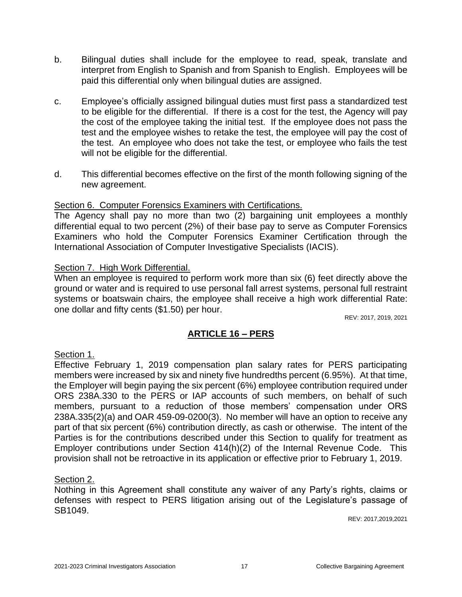- b. Bilingual duties shall include for the employee to read, speak, translate and interpret from English to Spanish and from Spanish to English. Employees will be paid this differential only when bilingual duties are assigned.
- c. Employee's officially assigned bilingual duties must first pass a standardized test to be eligible for the differential. If there is a cost for the test, the Agency will pay the cost of the employee taking the initial test. If the employee does not pass the test and the employee wishes to retake the test, the employee will pay the cost of the test. An employee who does not take the test, or employee who fails the test will not be eligible for the differential.
- d. This differential becomes effective on the first of the month following signing of the new agreement.

### Section 6. Computer Forensics Examiners with Certifications.

The Agency shall pay no more than two (2) bargaining unit employees a monthly differential equal to two percent (2%) of their base pay to serve as Computer Forensics Examiners who hold the Computer Forensics Examiner Certification through the International Association of Computer Investigative Specialists (IACIS).

#### Section 7. High Work Differential.

When an employee is required to perform work more than six (6) feet directly above the ground or water and is required to use personal fall arrest systems, personal full restraint systems or boatswain chairs, the employee shall receive a high work differential Rate: one dollar and fifty cents (\$1.50) per hour.

REV: 2017, 2019, 2021

### **ARTICLE 16 – PERS**

### <span id="page-18-0"></span>Section 1.

Effective February 1, 2019 compensation plan salary rates for PERS participating members were increased by six and ninety five hundredths percent (6.95%). At that time, the Employer will begin paying the six percent (6%) employee contribution required under ORS 238A.330 to the PERS or IAP accounts of such members, on behalf of such members, pursuant to a reduction of those members' compensation under ORS 238A.335(2)(a) and OAR 459-09-0200(3). No member will have an option to receive any part of that six percent (6%) contribution directly, as cash or otherwise. The intent of the Parties is for the contributions described under this Section to qualify for treatment as Employer contributions under Section 414(h)(2) of the Internal Revenue Code. This provision shall not be retroactive in its application or effective prior to February 1, 2019.

#### Section 2.

Nothing in this Agreement shall constitute any waiver of any Party's rights, claims or defenses with respect to PERS litigation arising out of the Legislature's passage of SB1049.

REV: 2017,2019,2021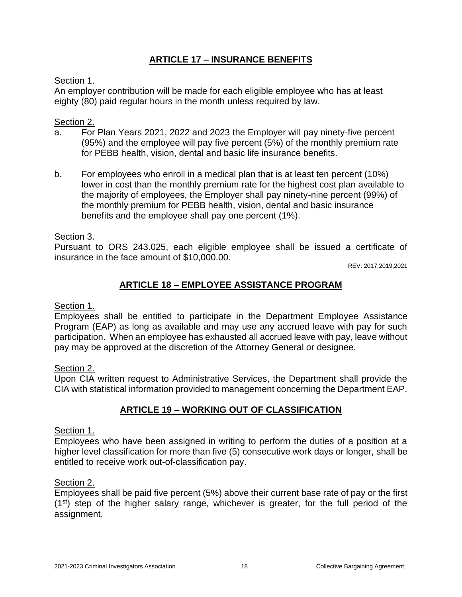# **ARTICLE 17 – INSURANCE BENEFITS**

## <span id="page-19-0"></span>Section 1.

An employer contribution will be made for each eligible employee who has at least eighty (80) paid regular hours in the month unless required by law.

## Section 2.

- a. For Plan Years 2021, 2022 and 2023 the Employer will pay ninety-five percent (95%) and the employee will pay five percent (5%) of the monthly premium rate for PEBB health, vision, dental and basic life insurance benefits.
- b. For employees who enroll in a medical plan that is at least ten percent (10%) lower in cost than the monthly premium rate for the highest cost plan available to the majority of employees, the Employer shall pay ninety-nine percent (99%) of the monthly premium for PEBB health, vision, dental and basic insurance benefits and the employee shall pay one percent (1%).

## Section 3.

Pursuant to ORS 243.025, each eligible employee shall be issued a certificate of insurance in the face amount of \$10,000.00.

REV: 2017,2019,2021

# **ARTICLE 18 – EMPLOYEE ASSISTANCE PROGRAM**

### <span id="page-19-1"></span>Section 1.

Employees shall be entitled to participate in the Department Employee Assistance Program (EAP) as long as available and may use any accrued leave with pay for such participation. When an employee has exhausted all accrued leave with pay, leave without pay may be approved at the discretion of the Attorney General or designee.

### Section 2.

Upon CIA written request to Administrative Services, the Department shall provide the CIA with statistical information provided to management concerning the Department EAP.

# **ARTICLE 19 – WORKING OUT OF CLASSIFICATION**

### <span id="page-19-2"></span>Section 1.

Employees who have been assigned in writing to perform the duties of a position at a higher level classification for more than five (5) consecutive work days or longer, shall be entitled to receive work out-of-classification pay.

### Section 2.

Employees shall be paid five percent (5%) above their current base rate of pay or the first (1st) step of the higher salary range, whichever is greater, for the full period of the assignment.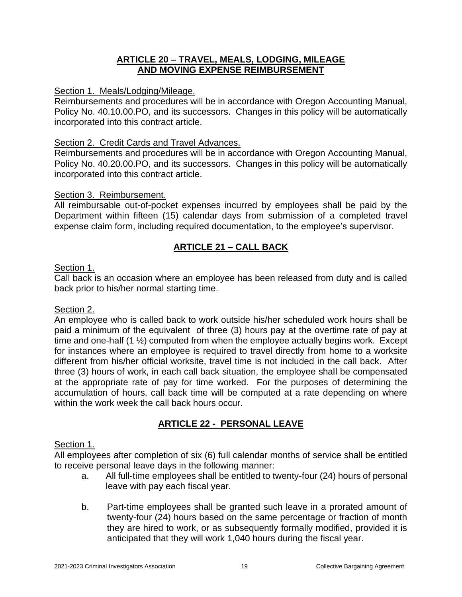## **ARTICLE 20 – TRAVEL, MEALS, LODGING, MILEAGE AND MOVING EXPENSE REIMBURSEMENT**

#### <span id="page-20-1"></span><span id="page-20-0"></span>Section 1. Meals/Lodging/Mileage.

Reimbursements and procedures will be in accordance with Oregon Accounting Manual, Policy No. 40.10.00.PO, and its successors. Changes in this policy will be automatically incorporated into this contract article.

#### Section 2. Credit Cards and Travel Advances.

Reimbursements and procedures will be in accordance with Oregon Accounting Manual, Policy No. 40.20.00.PO, and its successors. Changes in this policy will be automatically incorporated into this contract article.

#### Section 3. Reimbursement.

All reimbursable out-of-pocket expenses incurred by employees shall be paid by the Department within fifteen (15) calendar days from submission of a completed travel expense claim form, including required documentation, to the employee's supervisor.

## **ARTICLE 21 – CALL BACK**

#### <span id="page-20-2"></span>Section 1.

Call back is an occasion where an employee has been released from duty and is called back prior to his/her normal starting time.

#### Section 2.

An employee who is called back to work outside his/her scheduled work hours shall be paid a minimum of the equivalent of three (3) hours pay at the overtime rate of pay at time and one-half (1 ½) computed from when the employee actually begins work. Except for instances where an employee is required to travel directly from home to a worksite different from his/her official worksite, travel time is not included in the call back. After three (3) hours of work, in each call back situation, the employee shall be compensated at the appropriate rate of pay for time worked. For the purposes of determining the accumulation of hours, call back time will be computed at a rate depending on where within the work week the call back hours occur.

# **ARTICLE 22 - PERSONAL LEAVE**

#### <span id="page-20-3"></span>Section 1.

All employees after completion of six (6) full calendar months of service shall be entitled to receive personal leave days in the following manner:

- a. All full-time employees shall be entitled to twenty-four (24) hours of personal leave with pay each fiscal year.
- b. Part-time employees shall be granted such leave in a prorated amount of twenty-four (24) hours based on the same percentage or fraction of month they are hired to work, or as subsequently formally modified, provided it is anticipated that they will work 1,040 hours during the fiscal year.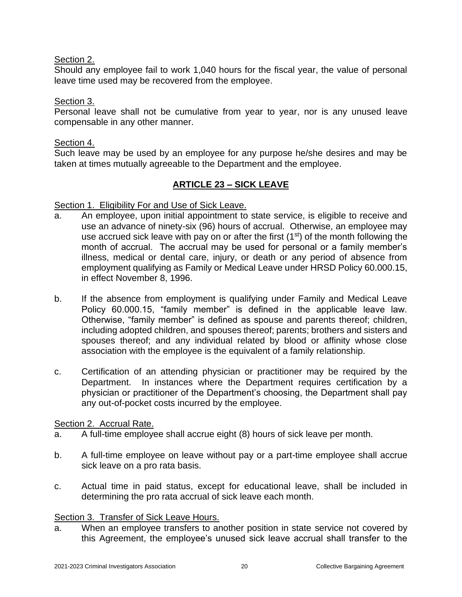## Section 2.

Should any employee fail to work 1,040 hours for the fiscal year, the value of personal leave time used may be recovered from the employee.

### Section 3.

Personal leave shall not be cumulative from year to year, nor is any unused leave compensable in any other manner.

### Section 4.

Such leave may be used by an employee for any purpose he/she desires and may be taken at times mutually agreeable to the Department and the employee.

## **ARTICLE 23 – SICK LEAVE**

#### <span id="page-21-0"></span>Section 1. Eligibility For and Use of Sick Leave.

- a. An employee, upon initial appointment to state service, is eligible to receive and use an advance of ninety-six (96) hours of accrual. Otherwise, an employee may use accrued sick leave with pay on or after the first  $(1<sup>st</sup>)$  of the month following the month of accrual. The accrual may be used for personal or a family member's illness, medical or dental care, injury, or death or any period of absence from employment qualifying as Family or Medical Leave under HRSD Policy 60.000.15, in effect November 8, 1996.
- b. If the absence from employment is qualifying under Family and Medical Leave Policy 60.000.15, "family member" is defined in the applicable leave law. Otherwise, "family member" is defined as spouse and parents thereof; children, including adopted children, and spouses thereof; parents; brothers and sisters and spouses thereof; and any individual related by blood or affinity whose close association with the employee is the equivalent of a family relationship.
- c. Certification of an attending physician or practitioner may be required by the Department. In instances where the Department requires certification by a physician or practitioner of the Department's choosing, the Department shall pay any out-of-pocket costs incurred by the employee.

#### Section 2. Accrual Rate.

- a. A full-time employee shall accrue eight (8) hours of sick leave per month.
- b. A full-time employee on leave without pay or a part-time employee shall accrue sick leave on a pro rata basis.
- c. Actual time in paid status, except for educational leave, shall be included in determining the pro rata accrual of sick leave each month.

### Section 3. Transfer of Sick Leave Hours.

a. When an employee transfers to another position in state service not covered by this Agreement, the employee's unused sick leave accrual shall transfer to the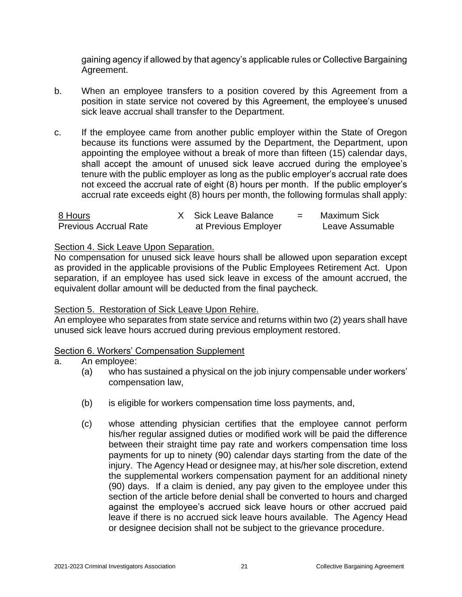gaining agency if allowed by that agency's applicable rules or Collective Bargaining Agreement.

- b. When an employee transfers to a position covered by this Agreement from a position in state service not covered by this Agreement, the employee's unused sick leave accrual shall transfer to the Department.
- c. If the employee came from another public employer within the State of Oregon because its functions were assumed by the Department, the Department, upon appointing the employee without a break of more than fifteen (15) calendar days, shall accept the amount of unused sick leave accrued during the employee's tenure with the public employer as long as the public employer's accrual rate does not exceed the accrual rate of eight (8) hours per month. If the public employer's accrual rate exceeds eight (8) hours per month, the following formulas shall apply:

| 8 Hours                      | X Sick Leave Balance | Maximum Sick    |
|------------------------------|----------------------|-----------------|
| <b>Previous Accrual Rate</b> | at Previous Employer | Leave Assumable |

#### Section 4. Sick Leave Upon Separation.

No compensation for unused sick leave hours shall be allowed upon separation except as provided in the applicable provisions of the Public Employees Retirement Act. Upon separation, if an employee has used sick leave in excess of the amount accrued, the equivalent dollar amount will be deducted from the final paycheck.

### Section 5. Restoration of Sick Leave Upon Rehire.

An employee who separates from state service and returns within two (2) years shall have unused sick leave hours accrued during previous employment restored.

### Section 6. Workers' Compensation Supplement

### a. An employee:

- (a) who has sustained a physical on the job injury compensable under workers' compensation law,
- (b) is eligible for workers compensation time loss payments, and,
- (c) whose attending physician certifies that the employee cannot perform his/her regular assigned duties or modified work will be paid the difference between their straight time pay rate and workers compensation time loss payments for up to ninety (90) calendar days starting from the date of the injury. The Agency Head or designee may, at his/her sole discretion, extend the supplemental workers compensation payment for an additional ninety (90) days. If a claim is denied, any pay given to the employee under this section of the article before denial shall be converted to hours and charged against the employee's accrued sick leave hours or other accrued paid leave if there is no accrued sick leave hours available. The Agency Head or designee decision shall not be subject to the grievance procedure.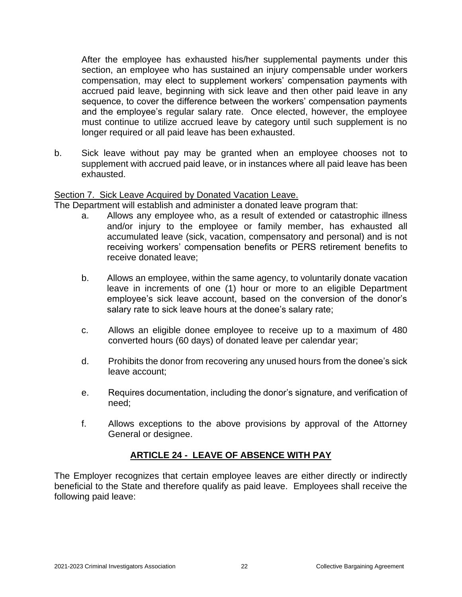After the employee has exhausted his/her supplemental payments under this section, an employee who has sustained an injury compensable under workers compensation, may elect to supplement workers' compensation payments with accrued paid leave, beginning with sick leave and then other paid leave in any sequence, to cover the difference between the workers' compensation payments and the employee's regular salary rate. Once elected, however, the employee must continue to utilize accrued leave by category until such supplement is no longer required or all paid leave has been exhausted.

b. Sick leave without pay may be granted when an employee chooses not to supplement with accrued paid leave, or in instances where all paid leave has been exhausted.

# Section 7. Sick Leave Acquired by Donated Vacation Leave.

The Department will establish and administer a donated leave program that:

- a. Allows any employee who, as a result of extended or catastrophic illness and/or injury to the employee or family member, has exhausted all accumulated leave (sick, vacation, compensatory and personal) and is not receiving workers' compensation benefits or PERS retirement benefits to receive donated leave;
- b. Allows an employee, within the same agency, to voluntarily donate vacation leave in increments of one (1) hour or more to an eligible Department employee's sick leave account, based on the conversion of the donor's salary rate to sick leave hours at the donee's salary rate;
- c. Allows an eligible donee employee to receive up to a maximum of 480 converted hours (60 days) of donated leave per calendar year;
- d. Prohibits the donor from recovering any unused hours from the donee's sick leave account;
- e. Requires documentation, including the donor's signature, and verification of need;
- f. Allows exceptions to the above provisions by approval of the Attorney General or designee.

### **ARTICLE 24 - LEAVE OF ABSENCE WITH PAY**

<span id="page-23-0"></span>The Employer recognizes that certain employee leaves are either directly or indirectly beneficial to the State and therefore qualify as paid leave. Employees shall receive the following paid leave: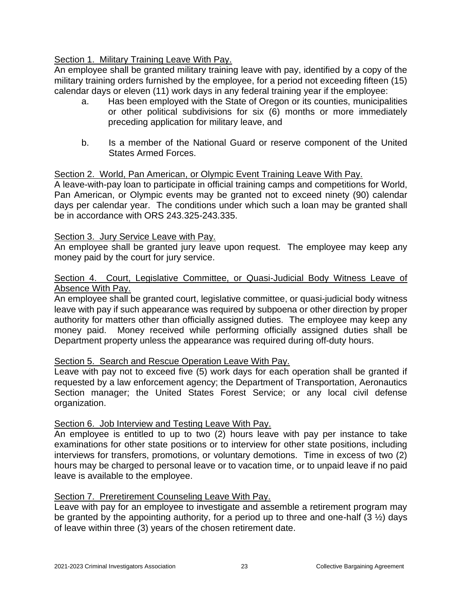## Section 1. Military Training Leave With Pay.

An employee shall be granted military training leave with pay, identified by a copy of the military training orders furnished by the employee, for a period not exceeding fifteen (15) calendar days or eleven (11) work days in any federal training year if the employee:

- a. Has been employed with the State of Oregon or its counties, municipalities or other political subdivisions for six (6) months or more immediately preceding application for military leave, and
- b. Is a member of the National Guard or reserve component of the United States Armed Forces.

### Section 2. World, Pan American, or Olympic Event Training Leave With Pay.

A leave-with-pay loan to participate in official training camps and competitions for World, Pan American, or Olympic events may be granted not to exceed ninety (90) calendar days per calendar year. The conditions under which such a loan may be granted shall be in accordance with ORS 243.325-243.335.

### Section 3. Jury Service Leave with Pay.

An employee shall be granted jury leave upon request. The employee may keep any money paid by the court for jury service.

#### Section 4. Court, Legislative Committee, or Quasi-Judicial Body Witness Leave of Absence With Pay.

An employee shall be granted court, legislative committee, or quasi-judicial body witness leave with pay if such appearance was required by subpoena or other direction by proper authority for matters other than officially assigned duties. The employee may keep any money paid. Money received while performing officially assigned duties shall be Department property unless the appearance was required during off-duty hours.

# Section 5. Search and Rescue Operation Leave With Pay.

Leave with pay not to exceed five (5) work days for each operation shall be granted if requested by a law enforcement agency; the Department of Transportation, Aeronautics Section manager; the United States Forest Service; or any local civil defense organization.

#### Section 6. Job Interview and Testing Leave With Pay.

An employee is entitled to up to two (2) hours leave with pay per instance to take examinations for other state positions or to interview for other state positions, including interviews for transfers, promotions, or voluntary demotions. Time in excess of two (2) hours may be charged to personal leave or to vacation time, or to unpaid leave if no paid leave is available to the employee.

#### Section 7. Preretirement Counseling Leave With Pay.

Leave with pay for an employee to investigate and assemble a retirement program may be granted by the appointing authority, for a period up to three and one-half  $(3 \frac{1}{2})$  days of leave within three (3) years of the chosen retirement date.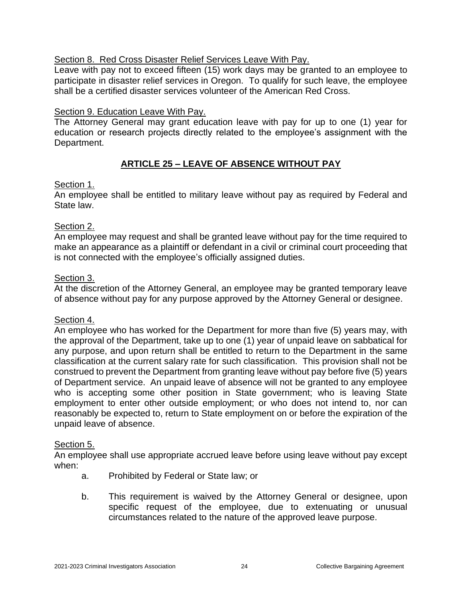## Section 8. Red Cross Disaster Relief Services Leave With Pav.

Leave with pay not to exceed fifteen (15) work days may be granted to an employee to participate in disaster relief services in Oregon. To qualify for such leave, the employee shall be a certified disaster services volunteer of the American Red Cross.

## Section 9. Education Leave With Pay.

The Attorney General may grant education leave with pay for up to one (1) year for education or research projects directly related to the employee's assignment with the Department.

# **ARTICLE 25 – LEAVE OF ABSENCE WITHOUT PAY**

### <span id="page-25-0"></span>Section 1.

An employee shall be entitled to military leave without pay as required by Federal and State law.

## Section 2.

An employee may request and shall be granted leave without pay for the time required to make an appearance as a plaintiff or defendant in a civil or criminal court proceeding that is not connected with the employee's officially assigned duties.

### Section 3.

At the discretion of the Attorney General, an employee may be granted temporary leave of absence without pay for any purpose approved by the Attorney General or designee.

### Section 4.

An employee who has worked for the Department for more than five (5) years may, with the approval of the Department, take up to one (1) year of unpaid leave on sabbatical for any purpose, and upon return shall be entitled to return to the Department in the same classification at the current salary rate for such classification. This provision shall not be construed to prevent the Department from granting leave without pay before five (5) years of Department service. An unpaid leave of absence will not be granted to any employee who is accepting some other position in State government; who is leaving State employment to enter other outside employment; or who does not intend to, nor can reasonably be expected to, return to State employment on or before the expiration of the unpaid leave of absence.

### Section 5.

An employee shall use appropriate accrued leave before using leave without pay except when:

- a. Prohibited by Federal or State law; or
- b. This requirement is waived by the Attorney General or designee, upon specific request of the employee, due to extenuating or unusual circumstances related to the nature of the approved leave purpose.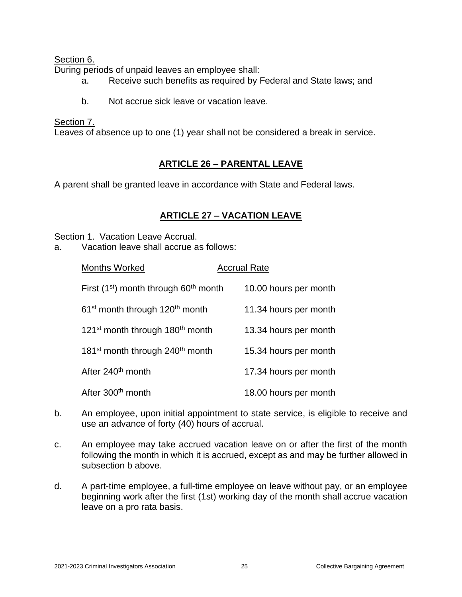Section 6.

During periods of unpaid leaves an employee shall:

- a. Receive such benefits as required by Federal and State laws; and
- b. Not accrue sick leave or vacation leave.

### Section 7.

Leaves of absence up to one (1) year shall not be considered a break in service.

# **ARTICLE 26 – PARENTAL LEAVE**

<span id="page-26-0"></span>A parent shall be granted leave in accordance with State and Federal laws.

# **ARTICLE 27 – VACATION LEAVE**

<span id="page-26-1"></span>Section 1. Vacation Leave Accrual.

a. Vacation leave shall accrue as follows:

| <b>Months Worked</b>                                    | <b>Accrual Rate</b>   |
|---------------------------------------------------------|-----------------------|
| First $(1st)$ month through 60 <sup>th</sup> month      | 10.00 hours per month |
| 61 <sup>st</sup> month through 120 <sup>th</sup> month  | 11.34 hours per month |
| 121 <sup>st</sup> month through 180 <sup>th</sup> month | 13.34 hours per month |
| 181 <sup>st</sup> month through 240 <sup>th</sup> month | 15.34 hours per month |
| After 240 <sup>th</sup> month                           | 17.34 hours per month |
| After 300 <sup>th</sup> month                           | 18.00 hours per month |

- b. An employee, upon initial appointment to state service, is eligible to receive and use an advance of forty (40) hours of accrual.
- c. An employee may take accrued vacation leave on or after the first of the month following the month in which it is accrued, except as and may be further allowed in subsection b above.
- d. A part-time employee, a full-time employee on leave without pay, or an employee beginning work after the first (1st) working day of the month shall accrue vacation leave on a pro rata basis.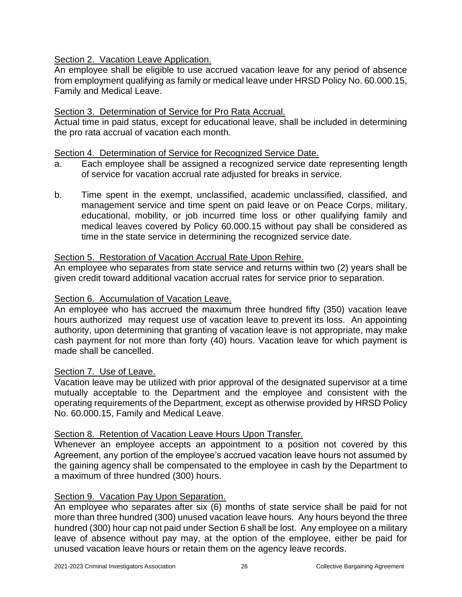## Section 2. Vacation Leave Application.

An employee shall be eligible to use accrued vacation leave for any period of absence from employment qualifying as family or medical leave under HRSD Policy No. 60.000.15, Family and Medical Leave.

## Section 3. Determination of Service for Pro Rata Accrual.

Actual time in paid status, except for educational leave, shall be included in determining the pro rata accrual of vacation each month.

#### Section 4. Determination of Service for Recognized Service Date.

- a. Each employee shall be assigned a recognized service date representing length of service for vacation accrual rate adjusted for breaks in service.
- b. Time spent in the exempt, unclassified, academic unclassified, classified, and management service and time spent on paid leave or on Peace Corps, military, educational, mobility, or job incurred time loss or other qualifying family and medical leaves covered by Policy 60.000.15 without pay shall be considered as time in the state service in determining the recognized service date.

### Section 5. Restoration of Vacation Accrual Rate Upon Rehire.

An employee who separates from state service and returns within two (2) years shall be given credit toward additional vacation accrual rates for service prior to separation.

### Section 6. Accumulation of Vacation Leave.

An employee who has accrued the maximum three hundred fifty (350) vacation leave hours authorized may request use of vacation leave to prevent its loss. An appointing authority, upon determining that granting of vacation leave is not appropriate, may make cash payment for not more than forty (40) hours. Vacation leave for which payment is made shall be cancelled.

#### Section 7. Use of Leave.

Vacation leave may be utilized with prior approval of the designated supervisor at a time mutually acceptable to the Department and the employee and consistent with the operating requirements of the Department, except as otherwise provided by HRSD Policy No. 60.000.15, Family and Medical Leave.

### Section 8. Retention of Vacation Leave Hours Upon Transfer.

Whenever an employee accepts an appointment to a position not covered by this Agreement, any portion of the employee's accrued vacation leave hours not assumed by the gaining agency shall be compensated to the employee in cash by the Department to a maximum of three hundred (300) hours.

## Section 9. Vacation Pay Upon Separation.

An employee who separates after six (6) months of state service shall be paid for not more than three hundred (300) unused vacation leave hours. Any hours beyond the three hundred (300) hour cap not paid under Section 6 shall be lost. Any employee on a military leave of absence without pay may, at the option of the employee, either be paid for unused vacation leave hours or retain them on the agency leave records.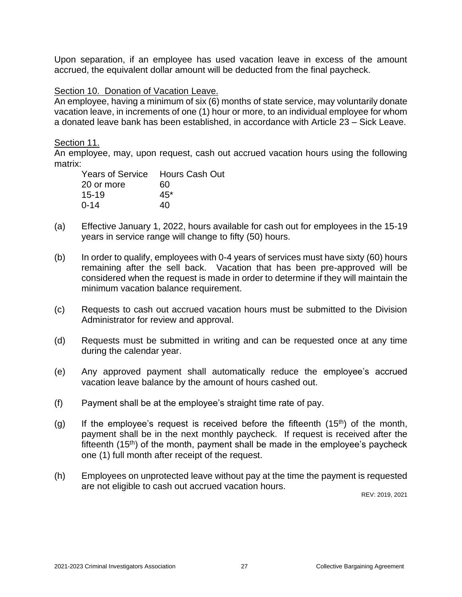Upon separation, if an employee has used vacation leave in excess of the amount accrued, the equivalent dollar amount will be deducted from the final paycheck.

#### Section 10. Donation of Vacation Leave.

An employee, having a minimum of six (6) months of state service, may voluntarily donate vacation leave, in increments of one (1) hour or more, to an individual employee for whom a donated leave bank has been established, in accordance with Article 23 – Sick Leave.

#### Section 11.

An employee, may, upon request, cash out accrued vacation hours using the following matrix:

| Years of Service Hours Cash Out |       |
|---------------------------------|-------|
| 20 or more                      | 60    |
| $15-19$                         | $45*$ |
| $0 - 14$                        | 40    |
|                                 |       |

- (a) Effective January 1, 2022, hours available for cash out for employees in the 15-19 years in service range will change to fifty (50) hours.
- (b) In order to qualify, employees with 0-4 years of services must have sixty (60) hours remaining after the sell back. Vacation that has been pre-approved will be considered when the request is made in order to determine if they will maintain the minimum vacation balance requirement.
- (c) Requests to cash out accrued vacation hours must be submitted to the Division Administrator for review and approval.
- (d) Requests must be submitted in writing and can be requested once at any time during the calendar year.
- (e) Any approved payment shall automatically reduce the employee's accrued vacation leave balance by the amount of hours cashed out.
- (f) Payment shall be at the employee's straight time rate of pay.
- (g) If the employee's request is received before the fifteenth  $(15<sup>th</sup>)$  of the month, payment shall be in the next monthly paycheck. If request is received after the fifteenth  $(15<sup>th</sup>)$  of the month, payment shall be made in the employee's paycheck one (1) full month after receipt of the request.
- (h) Employees on unprotected leave without pay at the time the payment is requested are not eligible to cash out accrued vacation hours.

REV: 2019, 2021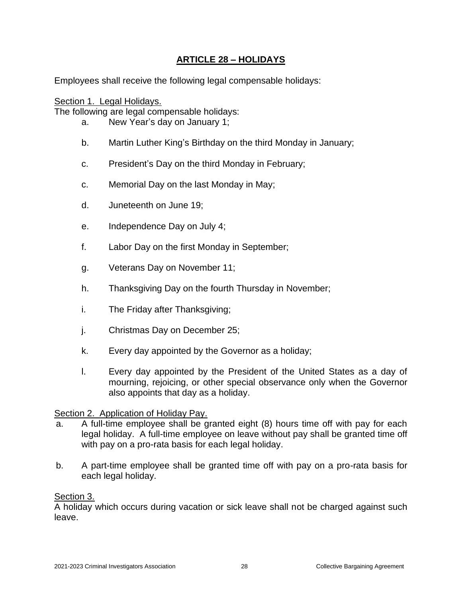# **ARTICLE 28 – HOLIDAYS**

<span id="page-29-0"></span>Employees shall receive the following legal compensable holidays:

Section 1. Legal Holidays. The following are legal compensable holidays:

- a. New Year's day on January 1;
- b. Martin Luther King's Birthday on the third Monday in January;
- c. President's Day on the third Monday in February;
- c. Memorial Day on the last Monday in May;
- d. Juneteenth on June 19;
- e. Independence Day on July 4;
- f. Labor Day on the first Monday in September;
- g. Veterans Day on November 11;
- h. Thanksgiving Day on the fourth Thursday in November;
- i. The Friday after Thanksgiving;
- j. Christmas Day on December 25;
- k. Every day appointed by the Governor as a holiday;
- l. Every day appointed by the President of the United States as a day of mourning, rejoicing, or other special observance only when the Governor also appoints that day as a holiday.

### Section 2. Application of Holiday Pay.

- a. A full-time employee shall be granted eight (8) hours time off with pay for each legal holiday. A full-time employee on leave without pay shall be granted time off with pay on a pro-rata basis for each legal holiday.
- b. A part-time employee shall be granted time off with pay on a pro-rata basis for each legal holiday.

### Section 3.

A holiday which occurs during vacation or sick leave shall not be charged against such leave.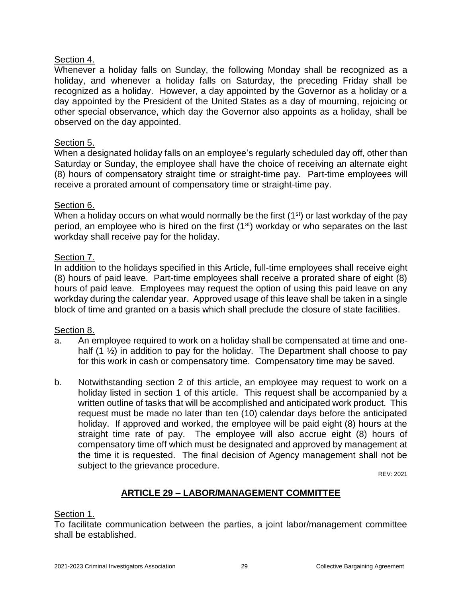## Section 4.

Whenever a holiday falls on Sunday, the following Monday shall be recognized as a holiday, and whenever a holiday falls on Saturday, the preceding Friday shall be recognized as a holiday. However, a day appointed by the Governor as a holiday or a day appointed by the President of the United States as a day of mourning, rejoicing or other special observance, which day the Governor also appoints as a holiday, shall be observed on the day appointed.

## Section 5.

When a designated holiday falls on an employee's regularly scheduled day off, other than Saturday or Sunday, the employee shall have the choice of receiving an alternate eight (8) hours of compensatory straight time or straight-time pay. Part-time employees will receive a prorated amount of compensatory time or straight-time pay.

### Section 6.

When a holiday occurs on what would normally be the first (1<sup>st</sup>) or last workday of the pay period, an employee who is hired on the first  $(1<sup>st</sup>)$  workday or who separates on the last workday shall receive pay for the holiday.

## Section 7.

In addition to the holidays specified in this Article, full-time employees shall receive eight (8) hours of paid leave. Part-time employees shall receive a prorated share of eight (8) hours of paid leave. Employees may request the option of using this paid leave on any workday during the calendar year. Approved usage of this leave shall be taken in a single block of time and granted on a basis which shall preclude the closure of state facilities.

# Section 8.

- a. An employee required to work on a holiday shall be compensated at time and onehalf  $(1 \frac{1}{2})$  in addition to pay for the holiday. The Department shall choose to pay for this work in cash or compensatory time. Compensatory time may be saved.
- b. Notwithstanding section 2 of this article, an employee may request to work on a holiday listed in section 1 of this article. This request shall be accompanied by a written outline of tasks that will be accomplished and anticipated work product. This request must be made no later than ten (10) calendar days before the anticipated holiday. If approved and worked, the employee will be paid eight (8) hours at the straight time rate of pay. The employee will also accrue eight (8) hours of compensatory time off which must be designated and approved by management at the time it is requested. The final decision of Agency management shall not be subject to the grievance procedure.

REV: 2021

# **ARTICLE 29 – LABOR/MANAGEMENT COMMITTEE**

### <span id="page-30-0"></span>Section 1.

To facilitate communication between the parties, a joint labor/management committee shall be established.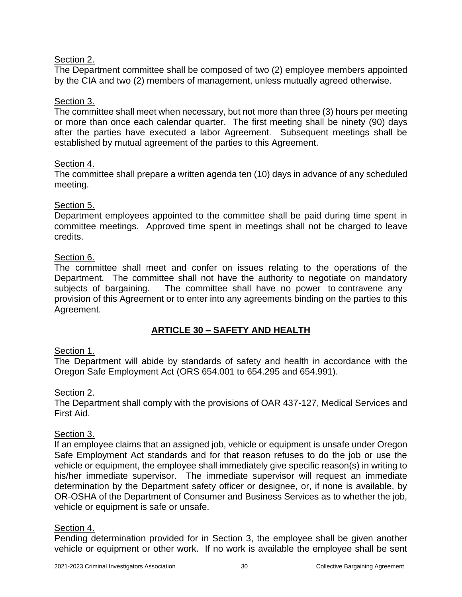# Section 2.

The Department committee shall be composed of two (2) employee members appointed by the CIA and two (2) members of management, unless mutually agreed otherwise.

### Section 3.

The committee shall meet when necessary, but not more than three (3) hours per meeting or more than once each calendar quarter. The first meeting shall be ninety (90) days after the parties have executed a labor Agreement. Subsequent meetings shall be established by mutual agreement of the parties to this Agreement.

### Section 4.

The committee shall prepare a written agenda ten (10) days in advance of any scheduled meeting.

## Section 5.

Department employees appointed to the committee shall be paid during time spent in committee meetings. Approved time spent in meetings shall not be charged to leave credits.

## Section 6.

The committee shall meet and confer on issues relating to the operations of the Department. The committee shall not have the authority to negotiate on mandatory subjects of bargaining. The committee shall have no power to contravene any provision of this Agreement or to enter into any agreements binding on the parties to this Agreement.

# **ARTICLE 30 – SAFETY AND HEALTH**

# <span id="page-31-0"></span>Section 1.

The Department will abide by standards of safety and health in accordance with the Oregon Safe Employment Act (ORS 654.001 to 654.295 and 654.991).

### Section 2.

The Department shall comply with the provisions of OAR 437-127, Medical Services and First Aid.

### Section 3.

If an employee claims that an assigned job, vehicle or equipment is unsafe under Oregon Safe Employment Act standards and for that reason refuses to do the job or use the vehicle or equipment, the employee shall immediately give specific reason(s) in writing to his/her immediate supervisor. The immediate supervisor will request an immediate determination by the Department safety officer or designee, or, if none is available, by OR-OSHA of the Department of Consumer and Business Services as to whether the job, vehicle or equipment is safe or unsafe.

### Section 4.

Pending determination provided for in Section 3, the employee shall be given another vehicle or equipment or other work. If no work is available the employee shall be sent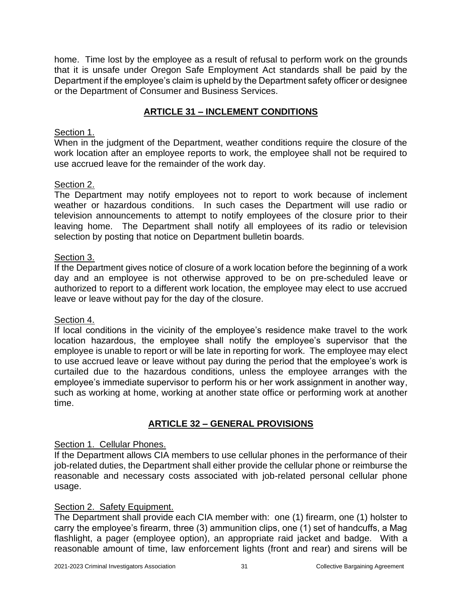home. Time lost by the employee as a result of refusal to perform work on the grounds that it is unsafe under Oregon Safe Employment Act standards shall be paid by the Department if the employee's claim is upheld by the Department safety officer or designee or the Department of Consumer and Business Services.

# **ARTICLE 31 – INCLEMENT CONDITIONS**

## <span id="page-32-0"></span>Section 1.

When in the judgment of the Department, weather conditions require the closure of the work location after an employee reports to work, the employee shall not be required to use accrued leave for the remainder of the work day.

## Section 2.

The Department may notify employees not to report to work because of inclement weather or hazardous conditions. In such cases the Department will use radio or television announcements to attempt to notify employees of the closure prior to their leaving home. The Department shall notify all employees of its radio or television selection by posting that notice on Department bulletin boards.

### Section 3.

If the Department gives notice of closure of a work location before the beginning of a work day and an employee is not otherwise approved to be on pre-scheduled leave or authorized to report to a different work location, the employee may elect to use accrued leave or leave without pay for the day of the closure.

### Section 4.

If local conditions in the vicinity of the employee's residence make travel to the work location hazardous, the employee shall notify the employee's supervisor that the employee is unable to report or will be late in reporting for work. The employee may elect to use accrued leave or leave without pay during the period that the employee's work is curtailed due to the hazardous conditions, unless the employee arranges with the employee's immediate supervisor to perform his or her work assignment in another way, such as working at home, working at another state office or performing work at another time.

# **ARTICLE 32 – GENERAL PROVISIONS**

# <span id="page-32-1"></span>Section 1. Cellular Phones.

If the Department allows CIA members to use cellular phones in the performance of their job-related duties, the Department shall either provide the cellular phone or reimburse the reasonable and necessary costs associated with job-related personal cellular phone usage.

# Section 2. Safety Equipment.

The Department shall provide each CIA member with: one (1) firearm, one (1) holster to carry the employee's firearm, three (3) ammunition clips, one (1) set of handcuffs, a Mag flashlight, a pager (employee option), an appropriate raid jacket and badge. With a reasonable amount of time, law enforcement lights (front and rear) and sirens will be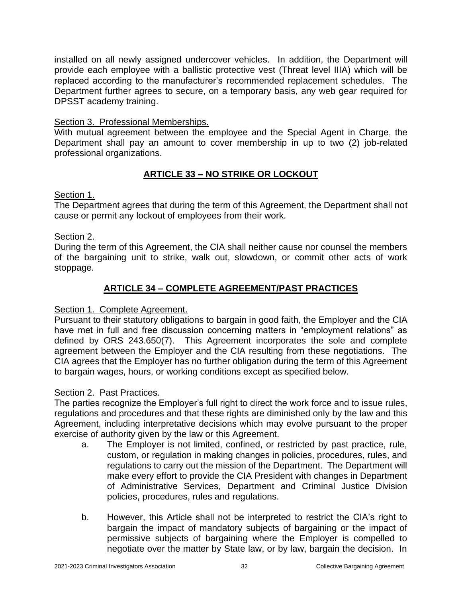installed on all newly assigned undercover vehicles. In addition, the Department will provide each employee with a ballistic protective vest (Threat level IIIA) which will be replaced according to the manufacturer's recommended replacement schedules. The Department further agrees to secure, on a temporary basis, any web gear required for DPSST academy training.

## Section 3. Professional Memberships.

With mutual agreement between the employee and the Special Agent in Charge, the Department shall pay an amount to cover membership in up to two (2) job-related professional organizations.

# **ARTICLE 33 – NO STRIKE OR LOCKOUT**

## <span id="page-33-0"></span>Section 1.

The Department agrees that during the term of this Agreement, the Department shall not cause or permit any lockout of employees from their work.

# Section 2.

During the term of this Agreement, the CIA shall neither cause nor counsel the members of the bargaining unit to strike, walk out, slowdown, or commit other acts of work stoppage.

# **ARTICLE 34 – COMPLETE AGREEMENT/PAST PRACTICES**

# <span id="page-33-1"></span>Section 1. Complete Agreement.

Pursuant to their statutory obligations to bargain in good faith, the Employer and the CIA have met in full and free discussion concerning matters in "employment relations" as defined by ORS 243.650(7). This Agreement incorporates the sole and complete agreement between the Employer and the CIA resulting from these negotiations. The CIA agrees that the Employer has no further obligation during the term of this Agreement to bargain wages, hours, or working conditions except as specified below.

### Section 2. Past Practices.

The parties recognize the Employer's full right to direct the work force and to issue rules, regulations and procedures and that these rights are diminished only by the law and this Agreement, including interpretative decisions which may evolve pursuant to the proper exercise of authority given by the law or this Agreement.

- a. The Employer is not limited, confined, or restricted by past practice, rule, custom, or regulation in making changes in policies, procedures, rules, and regulations to carry out the mission of the Department. The Department will make every effort to provide the CIA President with changes in Department of Administrative Services, Department and Criminal Justice Division policies, procedures, rules and regulations.
- b. However, this Article shall not be interpreted to restrict the CIA's right to bargain the impact of mandatory subjects of bargaining or the impact of permissive subjects of bargaining where the Employer is compelled to negotiate over the matter by State law, or by law, bargain the decision. In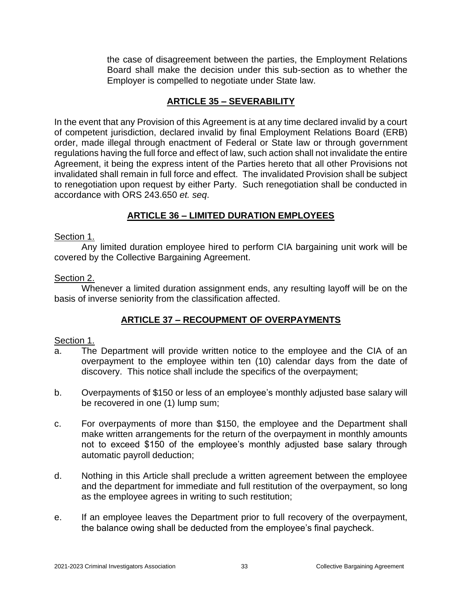the case of disagreement between the parties, the Employment Relations Board shall make the decision under this sub-section as to whether the Employer is compelled to negotiate under State law.

# **ARTICLE 35 – SEVERABILITY**

<span id="page-34-0"></span>In the event that any Provision of this Agreement is at any time declared invalid by a court of competent jurisdiction, declared invalid by final Employment Relations Board (ERB) order, made illegal through enactment of Federal or State law or through government regulations having the full force and effect of law, such action shall not invalidate the entire Agreement, it being the express intent of the Parties hereto that all other Provisions not invalidated shall remain in full force and effect. The invalidated Provision shall be subject to renegotiation upon request by either Party. Such renegotiation shall be conducted in accordance with ORS 243.650 *et. seq*.

# **ARTICLE 36 – LIMITED DURATION EMPLOYEES**

### <span id="page-34-1"></span>Section 1.

Any limited duration employee hired to perform CIA bargaining unit work will be covered by the Collective Bargaining Agreement.

### Section 2.

Whenever a limited duration assignment ends, any resulting layoff will be on the basis of inverse seniority from the classification affected.

# **ARTICLE 37 – RECOUPMENT OF OVERPAYMENTS**

### <span id="page-34-2"></span>Section 1.

- a. The Department will provide written notice to the employee and the CIA of an overpayment to the employee within ten (10) calendar days from the date of discovery. This notice shall include the specifics of the overpayment;
- b. Overpayments of \$150 or less of an employee's monthly adjusted base salary will be recovered in one (1) lump sum;
- c. For overpayments of more than \$150, the employee and the Department shall make written arrangements for the return of the overpayment in monthly amounts not to exceed \$150 of the employee's monthly adjusted base salary through automatic payroll deduction;
- d. Nothing in this Article shall preclude a written agreement between the employee and the department for immediate and full restitution of the overpayment, so long as the employee agrees in writing to such restitution;
- e. If an employee leaves the Department prior to full recovery of the overpayment, the balance owing shall be deducted from the employee's final paycheck.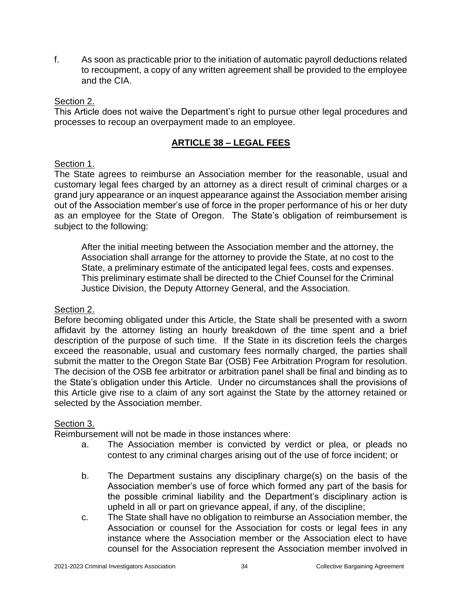f. As soon as practicable prior to the initiation of automatic payroll deductions related to recoupment, a copy of any written agreement shall be provided to the employee and the CIA.

#### Section 2.

This Article does not waive the Department's right to pursue other legal procedures and processes to recoup an overpayment made to an employee.

## **ARTICLE 38 – LEGAL FEES**

### <span id="page-35-0"></span>Section 1.

The State agrees to reimburse an Association member for the reasonable, usual and customary legal fees charged by an attorney as a direct result of criminal charges or a grand jury appearance or an inquest appearance against the Association member arising out of the Association member's use of force in the proper performance of his or her duty as an employee for the State of Oregon. The State's obligation of reimbursement is subject to the following:

After the initial meeting between the Association member and the attorney, the Association shall arrange for the attorney to provide the State, at no cost to the State, a preliminary estimate of the anticipated legal fees, costs and expenses. This preliminary estimate shall be directed to the Chief Counsel for the Criminal Justice Division, the Deputy Attorney General, and the Association.

#### Section 2.

Before becoming obligated under this Article, the State shall be presented with a sworn affidavit by the attorney listing an hourly breakdown of the time spent and a brief description of the purpose of such time. If the State in its discretion feels the charges exceed the reasonable, usual and customary fees normally charged, the parties shall submit the matter to the Oregon State Bar (OSB) Fee Arbitration Program for resolution. The decision of the OSB fee arbitrator or arbitration panel shall be final and binding as to the State's obligation under this Article. Under no circumstances shall the provisions of this Article give rise to a claim of any sort against the State by the attorney retained or selected by the Association member.

### Section 3.

Reimbursement will not be made in those instances where:

- a. The Association member is convicted by verdict or plea, or pleads no contest to any criminal charges arising out of the use of force incident; or
- b. The Department sustains any disciplinary charge(s) on the basis of the Association member's use of force which formed any part of the basis for the possible criminal liability and the Department's disciplinary action is upheld in all or part on grievance appeal, if any, of the discipline;
- c. The State shall have no obligation to reimburse an Association member, the Association or counsel for the Association for costs or legal fees in any instance where the Association member or the Association elect to have counsel for the Association represent the Association member involved in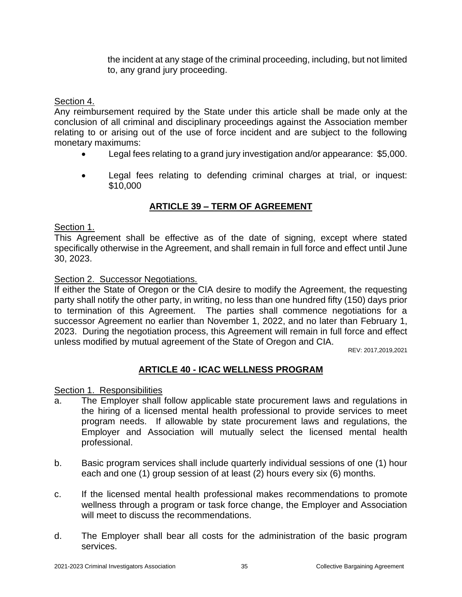the incident at any stage of the criminal proceeding, including, but not limited to, any grand jury proceeding.

#### Section 4.

Any reimbursement required by the State under this article shall be made only at the conclusion of all criminal and disciplinary proceedings against the Association member relating to or arising out of the use of force incident and are subject to the following monetary maximums:

- Legal fees relating to a grand jury investigation and/or appearance: \$5,000.
- Legal fees relating to defending criminal charges at trial, or inquest: \$10,000

# **ARTICLE 39 – TERM OF AGREEMENT**

#### <span id="page-36-0"></span>Section 1.

This Agreement shall be effective as of the date of signing, except where stated specifically otherwise in the Agreement, and shall remain in full force and effect until June 30, 2023.

#### Section 2. Successor Negotiations.

If either the State of Oregon or the CIA desire to modify the Agreement, the requesting party shall notify the other party, in writing, no less than one hundred fifty (150) days prior to termination of this Agreement. The parties shall commence negotiations for a successor Agreement no earlier than November 1, 2022, and no later than February 1, 2023. During the negotiation process, this Agreement will remain in full force and effect unless modified by mutual agreement of the State of Oregon and CIA.

REV: 2017,2019,2021

# **ARTICLE 40 - ICAC WELLNESS PROGRAM**

#### <span id="page-36-1"></span>Section 1. Responsibilities

- a. The Employer shall follow applicable state procurement laws and regulations in the hiring of a licensed mental health professional to provide services to meet program needs. If allowable by state procurement laws and regulations, the Employer and Association will mutually select the licensed mental health professional.
- b. Basic program services shall include quarterly individual sessions of one (1) hour each and one (1) group session of at least (2) hours every six (6) months.
- c. If the licensed mental health professional makes recommendations to promote wellness through a program or task force change, the Employer and Association will meet to discuss the recommendations.
- d. The Employer shall bear all costs for the administration of the basic program services.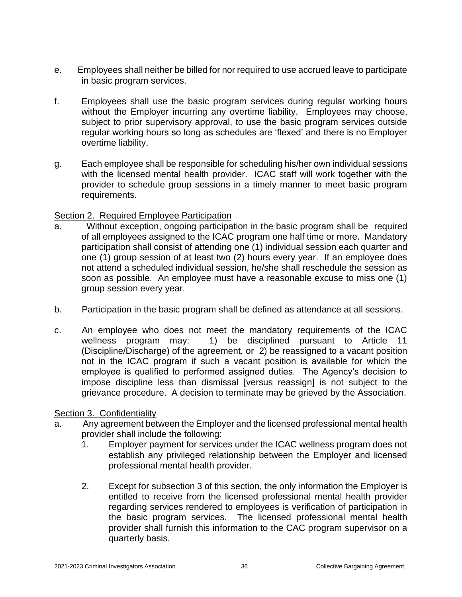- e. Employees shall neither be billed for nor required to use accrued leave to participate in basic program services.
- f. Employees shall use the basic program services during regular working hours without the Employer incurring any overtime liability. Employees may choose, subject to prior supervisory approval, to use the basic program services outside regular working hours so long as schedules are 'flexed' and there is no Employer overtime liability.
- g. Each employee shall be responsible for scheduling his/her own individual sessions with the licensed mental health provider. ICAC staff will work together with the provider to schedule group sessions in a timely manner to meet basic program requirements.

### Section 2. Required Employee Participation

- a. Without exception, ongoing participation in the basic program shall be required of all employees assigned to the ICAC program one half time or more. Mandatory participation shall consist of attending one (1) individual session each quarter and one (1) group session of at least two (2) hours every year. If an employee does not attend a scheduled individual session, he/she shall reschedule the session as soon as possible. An employee must have a reasonable excuse to miss one (1) group session every year.
- b. Participation in the basic program shall be defined as attendance at all sessions.
- c. An employee who does not meet the mandatory requirements of the ICAC wellness program may: 1) be disciplined pursuant to Article 11 (Discipline/Discharge) of the agreement, or 2) be reassigned to a vacant position not in the ICAC program if such a vacant position is available for which the employee is qualified to performed assigned duties. The Agency's decision to impose discipline less than dismissal [versus reassign] is not subject to the grievance procedure. A decision to terminate may be grieved by the Association.

### Section 3. Confidentiality

- a. Any agreement between the Employer and the licensed professional mental health provider shall include the following:
	- 1. Employer payment for services under the ICAC wellness program does not establish any privileged relationship between the Employer and licensed professional mental health provider.
	- 2. Except for subsection 3 of this section, the only information the Employer is entitled to receive from the licensed professional mental health provider regarding services rendered to employees is verification of participation in the basic program services. The licensed professional mental health provider shall furnish this information to the CAC program supervisor on a quarterly basis.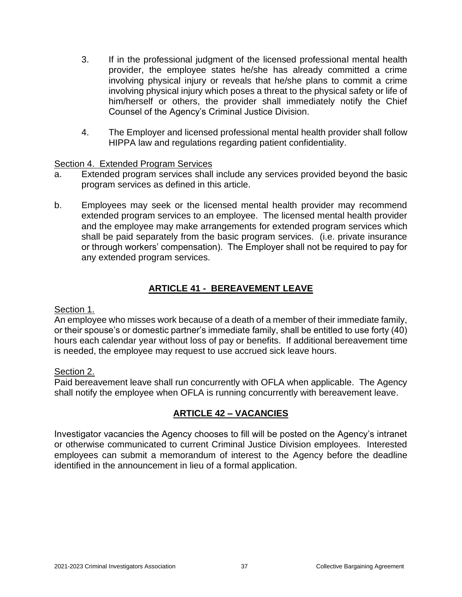- 3. If in the professional judgment of the licensed professional mental health provider, the employee states he/she has already committed a crime involving physical injury or reveals that he/she plans to commit a crime involving physical injury which poses a threat to the physical safety or life of him/herself or others, the provider shall immediately notify the Chief Counsel of the Agency's Criminal Justice Division.
- 4. The Employer and licensed professional mental health provider shall follow HIPPA law and regulations regarding patient confidentiality.

### Section 4. Extended Program Services

- a. Extended program services shall include any services provided beyond the basic program services as defined in this article.
- b. Employees may seek or the licensed mental health provider may recommend extended program services to an employee. The licensed mental health provider and the employee may make arrangements for extended program services which shall be paid separately from the basic program services. (i.e. private insurance or through workers' compensation). The Employer shall not be required to pay for any extended program services.

# **ARTICLE 41 - BEREAVEMENT LEAVE**

#### <span id="page-38-0"></span>Section 1.

An employee who misses work because of a death of a member of their immediate family, or their spouse's or domestic partner's immediate family, shall be entitled to use forty (40) hours each calendar year without loss of pay or benefits. If additional bereavement time is needed, the employee may request to use accrued sick leave hours.

### Section 2.

Paid bereavement leave shall run concurrently with OFLA when applicable. The Agency shall notify the employee when OFLA is running concurrently with bereavement leave.

# **ARTICLE 42 – VACANCIES**

<span id="page-38-1"></span>Investigator vacancies the Agency chooses to fill will be posted on the Agency's intranet or otherwise communicated to current Criminal Justice Division employees. Interested employees can submit a memorandum of interest to the Agency before the deadline identified in the announcement in lieu of a formal application.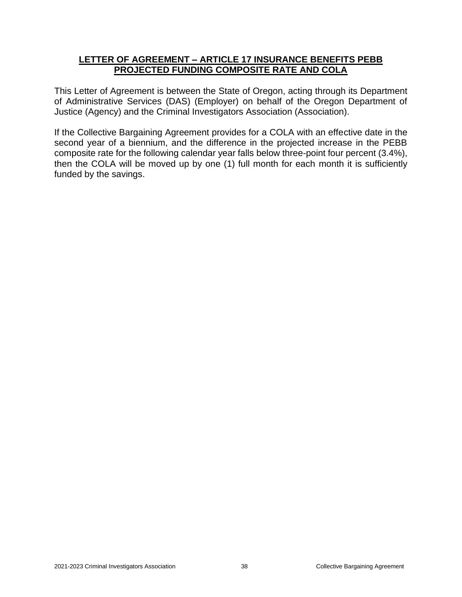#### <span id="page-39-0"></span>**LETTER OF AGREEMENT – ARTICLE 17 INSURANCE BENEFITS PEBB PROJECTED FUNDING COMPOSITE RATE AND COLA**

This Letter of Agreement is between the State of Oregon, acting through its Department of Administrative Services (DAS) (Employer) on behalf of the Oregon Department of Justice (Agency) and the Criminal Investigators Association (Association).

If the Collective Bargaining Agreement provides for a COLA with an effective date in the second year of a biennium, and the difference in the projected increase in the PEBB composite rate for the following calendar year falls below three-point four percent (3.4%), then the COLA will be moved up by one (1) full month for each month it is sufficiently funded by the savings.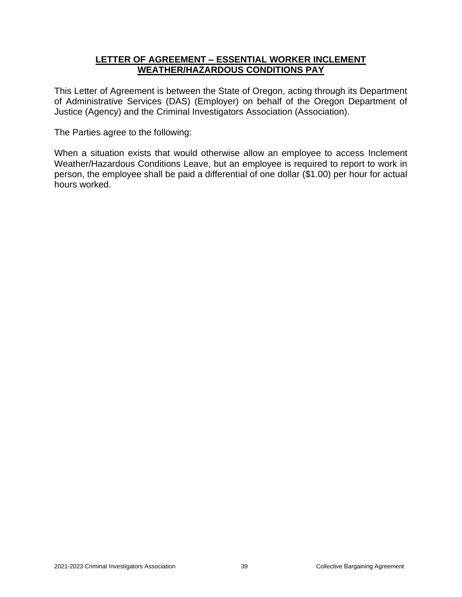#### **LETTER OF AGREEMENT – ESSENTIAL WORKER INCLEMENT WEATHER/HAZARDOUS CONDITIONS PAY**

<span id="page-40-0"></span>This Letter of Agreement is between the State of Oregon, acting through its Department of Administrative Services (DAS) (Employer) on behalf of the Oregon Department of Justice (Agency) and the Criminal Investigators Association (Association).

The Parties agree to the following:

When a situation exists that would otherwise allow an employee to access Inclement Weather/Hazardous Conditions Leave, but an employee is required to report to work in person, the employee shall be paid a differential of one dollar (\$1.00) per hour for actual hours worked.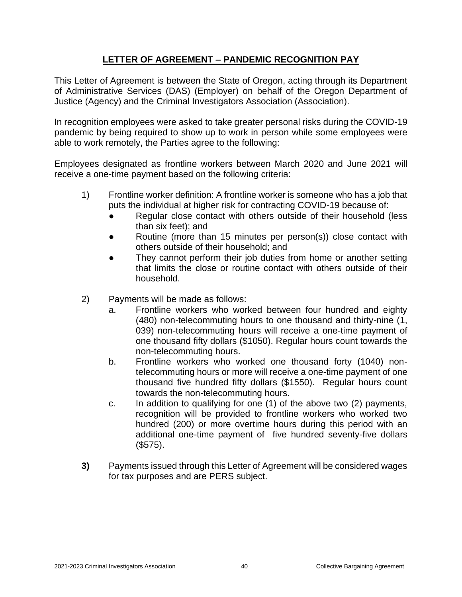# **LETTER OF AGREEMENT – PANDEMIC RECOGNITION PAY**

<span id="page-41-0"></span>This Letter of Agreement is between the State of Oregon, acting through its Department of Administrative Services (DAS) (Employer) on behalf of the Oregon Department of Justice (Agency) and the Criminal Investigators Association (Association).

In recognition employees were asked to take greater personal risks during the COVID-19 pandemic by being required to show up to work in person while some employees were able to work remotely, the Parties agree to the following:

Employees designated as frontline workers between March 2020 and June 2021 will receive a one-time payment based on the following criteria:

- 1) Frontline worker definition: A frontline worker is someone who has a job that puts the individual at higher risk for contracting COVID-19 because of:
	- Regular close contact with others outside of their household (less than six feet); and
	- Routine (more than 15 minutes per person(s)) close contact with others outside of their household; and
	- They cannot perform their job duties from home or another setting that limits the close or routine contact with others outside of their household.
- 2) Payments will be made as follows:
	- a. Frontline workers who worked between four hundred and eighty (480) non-telecommuting hours to one thousand and thirty-nine (1, 039) non-telecommuting hours will receive a one-time payment of one thousand fifty dollars (\$1050). Regular hours count towards the non-telecommuting hours.
	- b. Frontline workers who worked one thousand forty (1040) nontelecommuting hours or more will receive a one-time payment of one thousand five hundred fifty dollars (\$1550). Regular hours count towards the non-telecommuting hours.
	- c. In addition to qualifying for one (1) of the above two (2) payments, recognition will be provided to frontline workers who worked two hundred (200) or more overtime hours during this period with an additional one-time payment of five hundred seventy-five dollars (\$575).
- **3)** Payments issued through this Letter of Agreement will be considered wages for tax purposes and are PERS subject.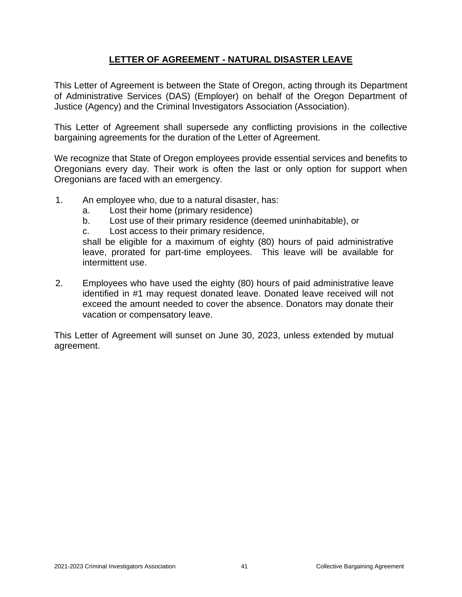# **LETTER OF AGREEMENT - NATURAL DISASTER LEAVE**

<span id="page-42-0"></span>This Letter of Agreement is between the State of Oregon, acting through its Department of Administrative Services (DAS) (Employer) on behalf of the Oregon Department of Justice (Agency) and the Criminal Investigators Association (Association).

This Letter of Agreement shall supersede any conflicting provisions in the collective bargaining agreements for the duration of the Letter of Agreement.

We recognize that State of Oregon employees provide essential services and benefits to Oregonians every day. Their work is often the last or only option for support when Oregonians are faced with an emergency.

- 1. An employee who, due to a natural disaster, has:
	- a. Lost their home (primary residence)
	- b. Lost use of their primary residence (deemed uninhabitable), or
	- c. Lost access to their primary residence,

shall be eligible for a maximum of eighty (80) hours of paid administrative leave, prorated for part-time employees. This leave will be available for intermittent use.

2. Employees who have used the eighty (80) hours of paid administrative leave identified in #1 may request donated leave. Donated leave received will not exceed the amount needed to cover the absence. Donators may donate their vacation or compensatory leave.

This Letter of Agreement will sunset on June 30, 2023, unless extended by mutual agreement.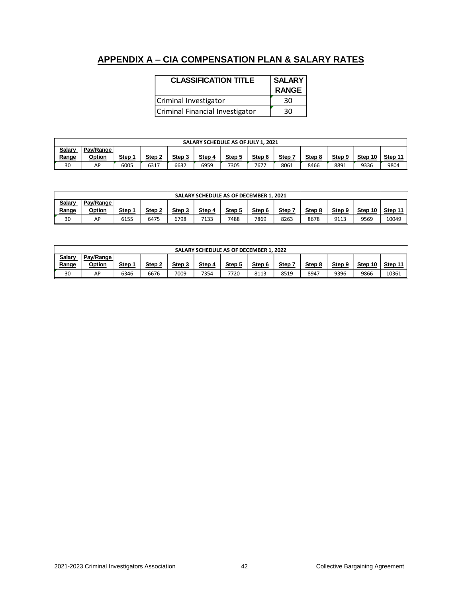# <span id="page-43-0"></span>**APPENDIX A – CIA COMPENSATION PLAN & SALARY RATES**

| <b>CLASSIFICATION TITLE</b>     | <b>SALARY</b><br><b>RANGE</b> |
|---------------------------------|-------------------------------|
| Criminal Investigator           | 30                            |
| Criminal Financial Investigator | 30                            |

| SALARY SCHEDULE AS OF JULY 1, 2021 |           |             |        |        |        |        |        |             |        |        |         |         |
|------------------------------------|-----------|-------------|--------|--------|--------|--------|--------|-------------|--------|--------|---------|---------|
| Salary                             | Pav/Range |             |        |        |        |        |        |             |        |        |         |         |
| Range                              | Option    | <b>Step</b> | Step 2 | Step 3 | Step 4 | Step 5 | Step 6 | <b>Step</b> | Step 8 | Step 9 | Step 10 | Step 11 |
| 30                                 | AP        | 6005        | 6317   | 6632   | 6959   | 7305   | 7677   | 8061        | 8466   | 8891   | 9336    | 9804    |

| SALARY SCHEDULE AS OF DECEMBER 1, 2021 |                     |             |        |        |        |        |        |      |        |        |         |         |
|----------------------------------------|---------------------|-------------|--------|--------|--------|--------|--------|------|--------|--------|---------|---------|
| Salary<br><u>Range</u>                 | Pav/Range<br>Option | <b>Step</b> | Step 2 | Step 3 | Step 4 | Step 5 | Step 6 | Step | Step 8 | Step 9 | Step 10 | Step 11 |
| 30                                     | AP                  | 6155        | 6475   | 6798   | 7133   | 7488   | 7869   | 8263 | 8678   | 9113   | 9569    | 10049   |

| SALARY SCHEDULE AS OF DECEMBER 1, 2022 |           |             |        |        |        |        |        |      |        |        |         |         |
|----------------------------------------|-----------|-------------|--------|--------|--------|--------|--------|------|--------|--------|---------|---------|
| Salary                                 | Pav/Range |             |        |        |        |        |        |      |        |        |         |         |
| <u>Range</u>                           | Option    | <b>Step</b> | Step 2 | Step 3 | Step 4 | Step 5 | Step 6 | Step | Step 8 | Step 9 | Step 10 | Step 11 |
| 30                                     | AP        | 6346        | 6676   | 7009   | 7354   | 7720   | 8113   | 8519 | 8947   | 9396   | 9866    | 10361   |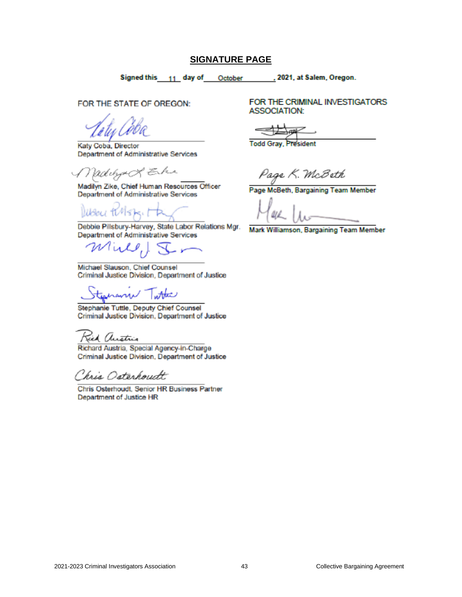#### **SIGNATURE PAGE**

Signed this 11 day of October , 2021, at Salem, Oregon.

<span id="page-44-0"></span>FOR THE STATE OF OREGON:

Katy Coba, Director Department of Administrative Services

Madilyn & E.h.

Madilyn Zike, Chief Human Resources Officer Department of Administrative Services

Debbie Pillsbury-Harvey, State Labor Relations Mgr. Department of Administrative Services

Mill, J

Michael Slauson, Chief Counsel Criminal Justice Division, Department of Justice

teshann Tatta

Stephanie Tuttle, Deputy Chief Counsel Criminal Justice Division, Department of Justice

Jick Austria

Richard Austria, Special Agency-in-Charge Criminal Justice Division, Department of Justice

Chris Osterhoudt

Chris Osterhoudt, Senior HR Business Partner Department of Justice HR

FOR THE CRIMINAL INVESTIGATORS **ASSOCIATION:** 

**Todd Gray**,

Page K. McBeth

Page McBeth, Bargaining Team Member

Mark Williamson, Bargaining Team Member